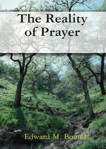# The Reality of Prayer

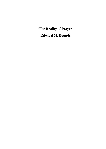**The Reality of Prayer**

**Edward M. Bounds**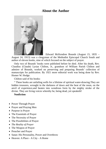#### **About the Author**



Edward McKendree Bounds (August 15, 1835 – August 24, 1913) was a clergyman of the Methodist Episcopal Church South and author of eleven books, nine of which focused on the subject of prayer.

Only two of Bounds' books were published before he died. After his death, Rev. Claudius (Claude) Lysias Chilton, Jr., grandson of William Parish Chilton and admirer of Bounds, worked on preserving and preparing Bounds' collection of manuscripts for publication. By 1921 more editorial work was being done by Rev. Homer W. Hodge.

Chilton said of his books:

" These books are unfailing wells for a lifetime of spiritual water-drawing.They are hidden treasures, wrought in the darkness of dawn and the heat of the noon, on the anvil of experience,and beaten into wondrous form by the mighty stroke of the divine. They are living voices whereby he, being dead, yet speaketh!

#### **Nonfiction**

- Power Through Prayer
- Prayer and Praying Men
- Purpose in Prayer
- The Essentials of Prayer
- The Necessity of Prayer
- The Possibilities of Prayer
- *The Reality of Prayer*
- The Weapon of Prayer
- Preacher and Prayer
- Satan: His Personality, Power and Overthrow
- Heaven: A Place A City A Home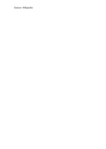Source: *Wikipedia*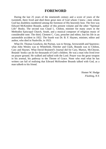#### **FOREWORD**

During the last 25 years of the nineteenth century and a score of years of the twentieth, there lived and died three great men of God whom I knew—men whom God has doubtless numbered among the foremost of His heavenly host. The first was Edward McKendree Bounds, author of this present volume and the other "Spiritual Life" Books. The second was Claud L. Chilton, minister for many years in the Methodist Episcopal Church, South, and a musical composer of religious music of considerable note. The third, Clement C. Cary, preacher and editor, lost his life in an automobile accident in 1922. The fourth was Dr. B. F. Haynes, minister, editor and author, who died in Nashville, in 1923.

What Dr. Thomas Goodwin, the Puritan, was to Strong, Arrowsmith and Sparstow; what John Wesley was to Whitefield, Fletcher and Clark, Bounds was to Chilton, Cary and Haynes. What David Brainerd's Journal did for Cary, Martyn, McCheyne, Bounds' books can do for thousands of God's children. He was a man who lived ever on prayer ground. He walked and talked with the Lord. Prayer was the great weapon in his arsenal, his pathway to the Throne of Grace. None who read what he has written can fail of realising that Edward McKendree Bounds talked with God, as a man talketh to his friend.

> Homer W. Hodge *Flushing, N.Y.*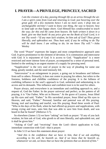#### **I. PRAYER—A PRIVILEGE, PRINCELY, SACRED**

*I am the creature of a day, passing through life as an arrow through the air. I am a spirit come from God and returning to God; just hovering over the great gulf; till a few moments hence I am no more seen; I drop into an unchangeable eternity! I want to know one thing, the way to heaven; how to land safe on that happy shore. God Himself has condescended to teach the way; for this end He came from heaven. He hath written it down in a book. give me that book! At any price give me the Book of God! Lord, is it not Thy word—"If any man lack wisdom, let him ask of God? Thou givest liberally, and upbraidest not. Thou hast said, if any be willing to do Thy will he shall know. I am willing to do; let me know Thy will."*—John **Wesley** 

The word "Prayer" expresses the largest and most comprehensive approach unto God. It gives prominence to the element of devotion. It is communion and intercourse with God. It is enjoyment of God. It is access to God. "Supplication" is a more restricted and more intense form of prayer, accompanied by a sense of personal need, limited to the seeking in an urgent manner of a supply for pressing need.

"Supplication" is the very soul of prayer in the way of pleading for some one thing, greatly needed, and the need intensely felt.

"Intercession" is an enlargement in prayer, a going out in broadness and fullness from self to others. Primarily, it does not centre in praying for others, but refers to the freeness, boldness and childlike confidence of the praying. It is the fullness of confiding influence in the soul's approach to God, unlimited and unhesitating in its access and its demands. This influence and confident trust is to be used for others.

Prayer always, and everywhere is an immediate and confiding approach to, and a request of, God the Father. In the prayer universal and perfect, as the pattern of all praying, it is "Our Father, Who art in Heaven." At the grave of Lazarus, Jesus lifted up His eyes and said, "Father." In His sacerdotal prayer, Jesus lifted up His eyes to Heaven, and said, "Father." Personal, familiar and paternal was all His praying. Strong, tool and touching and tearful, was His praying. Read these words of Paul: "Who in the days of his flesh, when he had offered up prayers and supplications, with strong crying and tears, unto him that was able to save him from death, and was heard in that he feared" (Hebrews 5:7).

So elsewhere (James 1:5) we have "asking" set forth as prayer: "If any of you lack wisdom, let him ask of God, who giveth to all men liberally, and upbraideth not, and it shall be given him."

"Asking of God" and "receiving" from the Lord—direct application to God, immediate connection with God—that is prayer.

In John 5:13 we have this statement about prayer:

*"And this is the confidence that we have in him, that if we ask anything according to his will, he heareth us. And if we know that he heareth us, whatsoever we ask, we know that we have the petitions that we desired of him."*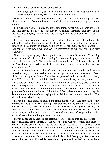In Phil. 4:6 we have these words about prayer:

*"Be careful for nothing, but in everything, by prayer and supplication, with thanksgiving, let your requests be made known unto God."*

What is God's will about prayer? First of all, it is God's will that we pray. Jesus Christ "spake a parable unto them to this end, that men ought always to pray, and not to faint"

Paul writes to young Timothy about the first things which God's people are to do, and first among the first he puts prayer: "I exhort, therefore, that first of all, supplications, prayers, intercessions, and giving of thanks, be made for all men" (1 Tim. 2:1).

In connection with these words Paul declares that the will of God and the redemption and mediation of Jesus Christ for the salvation for all men are all vitally concerned in this matter of prayer. In this his apostolical authority and solicitude of soul conspire with God's will and Christ's intercession to will that "the men pray everywhere."

Note how frequently prayer is brought forward in the New Testament: "Continuing instant in prayer"; "Pray without ceasing"; "Continue in prayer, and watch in the same with thanksgiving"; "Be ye sober and watch unto prayer"; Christ's clarion call was "watch and pray." What are all these and others, if it is not the will of God that men should pray?

Prayer is complement, make efficient and cooperate with God's will, whose sovereign sway is to run parallel in extent and power with the atonement of Jesus Christ. He, through the Eternal Spirit, by the grace of God, "tasted death for every man." We, through the Eternal Spirit, by the grace of God, *pray* for every man.

But how do I know that I am praying by the will of God? Every true attempt to pray is in response to the will of God. Bungling it may be and untutored by human teachers, but it is accept-able to God, because it is in obedience to His will. If I will give myself up to the inspiration of the Spirit of God, who commands me to pray, the details and the petitions of that praying will all fall into harmony with the will of Him who wills that I should pray.

Prayer is no little thing, no selfish and small matter. It does not concern the petty interests of one person. The littlest prayer broadens out by the will of God till it touches all words, conserves all interests, and enhances man's greatest wealth, and God's greatest good. God is so concerned that men pray that He has promised to answer prayer. He has not promised to do something general if we pray, but He has promised to do the very thing for which we pray.

Prayer, as taught by Jesus in its essential features, enters into all the relations of life. It sanctifies brotherliness. To the Jew, the altar was the symbol and place of prayer. The Jew devoted the altar to the worship of God. Jesus Christ takes the altar of prayer and devotes it to the worship of the brotherhood. How Christ purifies the altar and enlarges it! How He takes it out of the sphere of a mere performance, and makes its virtue to consist, not in the mere act of praying, but in the spirit which actuates us toward men. Our spirit toward folks is of the life of prayer. We must be at peace with men, and, if possible, have them at peace with us, before we can be at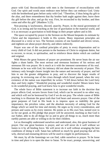peace with God. Reconciliation with men is the forerunner of reconciliation with God. Our spirit and words must embrace men before they can embrace God. Unity with the brotherhood goes before unity with God. "Therefore, if thou bring thy gift to the altar, and there rememberest that thy brother hath aught against thee; leave there thy gift before the altar, and go thy way. First, be reconciled to thy brother, and then come and offer thy gift" (Matthew 5:23).

Non-praying is lawlessness, discord, anarchy. Prayer, in the moral government of God, is as strong and far-reaching as the law of gravitation in the material world, and it is as necessary as gravitation to hold things in their proper sphere and in life.

The space occupied by prayer in the Sermon on the Mount bespeaks its estimate by Christ and the importance it holds in His system. Many important principles are discussed in a verse or two. The Sermon consists of one hundred and eleven verses, and eighteen are about prayer directly, and others indirectly.

Prayer was one of the cardinal principles of piety in every dispensation and to every child of God. It did not pertain to the business of Christ to originate duties, but to recover, to recast, to spiritualise, and to reinforce those duties which are cardinal and original.

With Moses the great features of prayer are prominent. He never beats the air nor fights a sham battle. The most serious and strenuous business of his serious and strenuous life was prayer. He is much at it with the intensest earnestness of his soul. Intimate as he was with God, his intimacy did not abate the necessity of prayer. This intimacy only brought clearer insight into the nature and necessity of prayer, and led him to see the greater obligations to pray, and to discover the larger results of praying. In reviewing one of the crises through which Israel passed, when the very existence of the nation was imperilled, he writes: "I fell down before the Lord forty days and forty nights." Wonderful praying and wonderful results! Moses knew how to do wonderful praying, and God knew how to give wonderful results.

The whole force of Bible statement is to increase our faith in the doctrine that prayer affects God, secures favors from God, which can be secured in no other way, and which will not be bestowed by God if we do not pray. The whole canon of Bible teaching is to illustrate the great truth that God hears and answers prayer. One of the great purposes of God in His book is to impress upon us indelibly the great importance, the priceless value, and the absolute necessity of asking God for the things which we need for time and eternity. He urges us by every consideration, and presses and warns us by every interest. He points us to His own Son, turned over to us for our good, as His pledge that prayer will be answered, teaching us that God is our Father, able to do all things for us and to give all things to us, much more than earthly parents are able or willing to do for their children.

Let us thoroughly understand ourselves and understand, also, this great business of prayer. Our one great business is prayer, and we will never do it well without we fasten to it by all binding force. We will never do it well without arranging the best conditions of doing it well. Satan has suffered so much by good praying that all his wily, shrewd and ensnaring devices will be used to cripple its performances.

We must, by all the fastenings we can find, cable ourselves to prayer. To be loose in time and place is to open the door to Satan. To be exact, prompt, unswerving, and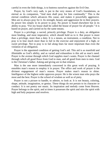careful in even the little things, is to buttress ourselves against the Evil One.

Prayer, by God's very oath, is put in the very stones of God's foundations, as eternal as its companion, "And men shall pray for him continually." This is the eternal condition which advances His cause, and makes it powerfully aggressive. Men are to always pray for it. Its strength, beauty and aggression lie in their prayers. Its power lies simply in its power to pray. No power is found elsewhere but in its ability to pray. "For my house shall be called the house of prayer for all people." It is based on prayer, and carried on by the same means.

Prayer is a privilege, a sacred, princely privilege. Prayer is a duty, an obligation most binding, and most imperative, which should hold us to it. But prayer is more than a privilege, more than a duty. It is a means, an instrument, a condition. Not to pray is to lose much more than to fail in the exercise and enjoyment of a high, or sweet privilege. Not to pray is to fail along lines far more important than even the violation of an obligation.

Prayer is the appointed condition of getting God's aid. This aid is as manifold and illimitable as God's ability, and as varied and exhaustless is this aid as man's need. Prayer is the avenue through which God supplies man's wants. Prayer is the channel through which all good flows from God to man, and all good from men to men. God is the Christian's father. Asking and giving are in that relation.

Man is the one more immediately concerned in this great work of praying. It ennobles man's reason to employ it in prayer. The office and work of prayer is the divinest engagement of man's reason. Prayer makes man's reason to shine. Intelligence of the highest order approves prayer. He is the wisest man who prays the most and the best. Prayer is the school of wisdom as well as of piety.

Prayer is not a picture to handle, to admire, to look at. It is not beauty, coloring, shape, attitude, imagination, or genius. These things do not pertain to its character or conduct. It is not poetry nor music. Its inspiration and melody come from Heaven. Prayer belongs to the spirit, and at times it possesses the spirit and stirs the spirit with high and holy purposes and resolves.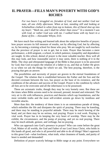#### **II. PRAYER—FILLS MAN'S POVERTY WITH GOD'S RICHES**

*For two hours I struggled on, forsaken of God, and met neither God nor man, all one chilly afternoon. When at last, standing still and looking at Schiehallion clothed in white from top to bottom, this of David shot up into my heart: "Wash me, and I shall be whiter than snow!" In a moment I was with God, or rather God was with me. I walked home with my heart in a flame of fire.*—Alexander Whyte, D.D.

We have much fine writing and learned talk about the subjective benefits of prayer; how prayer secures its full measure of results, not by affecting God, but by affecting us, by becoming a training school for those who pray. We are taught by such teachers that the province of prayer is not to get, but to train. Prayer thus becomes a mere performance, a drill-sergeant, a school, in which patience, tranquility and dependence are taught. In this school, denial of prayer is the most valuable teacher. How well all this may look, and how reasonable soever it may seem, there is nothing of it in the Bible. The clear and oftrepeated language of the Bible is that prayer is to be answered by God; that God occupies the relation of a father to us, and that as Father He gives to us when we ask the things for which we ask. The best praying, therefore, is the praying that gets an answer.

The possibilities and necessity of prayer are graven in the eternal foundations of the Gospel. The relation that is established between the Father and the Son and the decreed covenant between the two, has prayer as the base of its existence, and the conditions of the advance and success of the Gospel. Prayer is the condition by which all foes are to be overcome and all the inheritance is to be possessed.

These are axiomatic truths, though they may be very homely ones. But these are the times when Bible axioms need to be stressed, pressed, iterated and reiterated. The very air is rife with influences, practices and theories which sap foundations, and the most veritable truths and the most self-evident axioms go down by insidious and invisible attacks.

More than this: the tendency of these times is to an ostentatious parade of doing, which enfeebles the life and dissipates the spirit of praying. There may be kneeling, and there may be standing in prayerful attitude. There may be much bowing of the head, and yet there may be no serious, real praying. Prayer is real work. Praying is vital work. Prayer has in its keeping the very heart of worship. There may be the exhibit, the circumstance, and the pomp of praying, and yet no real praying. There may be much attitude, gesture, and verbiage, but no praying.

Who can approach into God's presence in prayer? Who can come before the great God, Maker of all worlds, the God and Father of our Lord Jesus Christ, who holds in His hands all good, and who is all powerful and able to do all things? Man's approach to this great God—what lowliness, what truth, what cleanness of hands, and purity of heart is needed and demanded!

Definition of prayer scarcely belongs to Bible range at any point. Everywhere we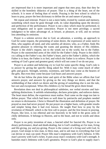are impressed that it is more important and urgent that men pray, than that they be skilled in the homiletic didactics of prayer. That is a thing of the heart, not of the schools. It is more of feeling than of words. Praying is the best school in which to learn to pray, prayer the best dictionary to define the art and nature of praying.

We repeat and reiterate. Prayer is not a mere habit, riveted by custom and memory, something which must be gone through with, its value depending upon the decency and perfection of the performance. Prayer is not a duty which must be performed, to ease obligation and to quiet conscience. Prayer is not mere privilege, a sacred indulgence to be taken advantage of, at leisure, at pleasure, at will, and no serious loss attending its omission.

Prayer is a solemn service due to God, an adoration, a worship, an approach to God for some request, the presenting of some desire, the expression of some need to Him, who supplies all need, and who satisfies all desires; who, as a Father, finds His greatest pleasure in relieving the wants and granting the desires of His children. Prayer is the child's request, not to the winds nor to the world, but to the Father. Prayer is the outstretched arms of the child for the Father's help. Prayer is the child's cry calling to the Father's ear, the Father's heart, and to the Father's ability, which the Father is to hear, the Father is to feel, and which the Father is to relieve. Prayer is the seeking of God's great and greatest good, which will not come if we do not pray.

Prayer is an ardent and believing cry to God for some specific thing. God's rule is to answer by giving the specific thing asked for. With it may come much of other gifts and graces. Strength, serenity, sweetness, and faith may come as the bearers of the gifts. But even they come because God hears and answers prayer.

We do but follow the plain letter and spirit of the Bible when we affirm that God answers prayer, and answers by giving us the very things we desire, and that the withholding of that which we desire and the giving of something else is not the rule, but rare and exceptional. When His children cry for bread He gives them bread.

Revelation does not deal in philosophical subtleties, nor verbal niceties and hairsplitting distinctions. It unfolds relationships, declares principles, and enforces duties. The heart must define, the experience must realise. Paul came on the stage too late to define prayer. That which had been so well done by patriarchs and prophets needed no return to dictionaries. Christ is Himself the illustration and definition of prayer. He prayed as man had never prayed. He put prayer on a higher basis, with grander results and simpler being than it had ever known. He taught Paul how to pray by the revelation of Himself, which is the first call to prayer, and the first lesson in praying. Prayer, like love, is too ethereal and too heavenly to be held in the gross arms of chilly definitions. It belongs to Heaven, and to the heart, and not to words and ideas only.

Prayer is no petty invention of man, a fancied relief for fancied ills. Prayer is no dreary performance, dead and death-dealing, but is God's enabling act for man, living and life-giving, joy and joy-giving. Prayer is the contact of a living soul with God. In prayer, God stoops to kiss man, to bless man, and to aid man in everything that God can devise or man can need. Prayer fills man's emptiness with God's fullness. It fills man's poverty with God's riches. It puts away man's weakness with God's strength. It banishes man's littleness with God's greatness. Prayer is God's plan to supply man's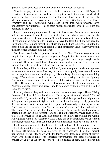great and continuous need with God's great and continuous abundance.

What is this prayer to which men are called? It is not a mere form, a child's play. It is serious, difficult work, the manliest, the mightiest work, the divinest work which man can do. Prayer lifts men out of the earthliness and links them with the heavenly. Men are never nearer Heaven, nearer God, never more God-like, never in deeper sympathy and truer partnership with Jesus Christ, than when praying. Love, philanthropy, holy affiances,—all of them helpful and tender for men—are born and perfected by prayer.

Prayer is not merely a question of duty, but of salvation. Are men saved who are not men of prayer? Is not the gift, the inclination, the habit of prayer, one of the elements or characteristics of salvation? Can it be possible to be in affinity with Jesus Christ and not be prayerful? Is it possible to have the Holy Spirit and not have the spirit of prayer? Can one have the new birth and not be born to prayer? Is not the life of the Spirit and the life of prayer coordinate and consistent? Can brotherly love be in the heart which is unschooled in prayer?

We have two kinds of prayer named in the New Testament—prayer and supplication. Prayer denotes prayer in general. Supplication is a more intense and more special form of prayer. These two, supplication and prayer, ought to be combined. Then we would have devotion in its widest and sweetest form, and supplication with its most earnest and personal sense of need.

In Paul's Prayer Directory, found in Ephes. 6, we are taught to be always in prayer, as we are always in the battle. The Holy Spirit is to be sought by intense supplication, and our supplications are to be charged by His vitalising, illuminating and ennobling energy. Watchfulness is to fit us for this intense praying and intense fighting. Perseverance is an essential element in successful praying, as in every other realm of conflict. The saints universal are to be helped on to victory by the aid of our prayers. Apostolic courage, ability and success are to be gained by the prayers of the soldier saints everywhere.

It is only those of deep and true vision who can administer prayer. These "Living Creatures," in Rev. 4:6, are described as "full of eyes before and behind," "full of eyes within." Eyes are for seeing. Clearness, intensity,[ ]and perfection of sight are in it. Vigilance and profound insight are in it, the faculty of knowing. It is by prayer that the eyes of our hearts are opened. Clear, profound knowledge of the mysteries of grace is secured by prayer. These "Living Creatures" had eyes "within and without" They were "full of eyes." The highest form of life is intelligent. Ignorance is degrading and low, in the spiritual realm as it is in other realms. Prayer gives us eyes to see God. Prayer is seeing God. The prayer life is knowledge without and within. All vigilance without, all vigilance within. There can be no intelligent prayer without knowledge within. Our inner condition and our inner needs must be felt and known.

It takes prayer to minister. It takes life, the highest form of life, to minister. Prayer is the highest intelligence, the profoundest wisdom, the most vital, the most joyous, the most efficacious, the most powerful of all vocations. It is life, radiant, transporting, eternal life. Away with dry forms, with dead, cold habits of prayer! Away with sterile routine, with senseless performances and petty playthings in prayer! Let us get at the serious work, the chief business of men, that of prayer. Let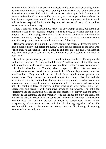us work at it skillfully. Let us seek to be adepts in this great work of praying. Let us be master-workmen, in this high art of praying. Let us be so in the habit of prayer, so devoted to prayer, so filled with its rich spices, so ardent by its holy flame, that all Heaven and earth will be perfumed by its aroma, and nations yet in the womb will be blest by our prayers. Heaven will be fuller and brighter in glorious inhabitants, earth will be better prepared for its bridal day, and hell robbed of many of its victims, because we have lived to pray.

There is not only a sad and ruinous neglect of any attempt to pray, but there is an immense waste in the seeming praying which is done, as official praying, state praying, mere habit praying. Men cleave to the form and semblance of a thing after the heart and reality have gone out of it. This finds illustrations in many who seem to pray. Formal praying has a strong hold and a strong following.

Hannah's statement to Eli and her defense against his charge of hypocrisy was: "I have poured out my soul before the Lord." God's serious promise to the Jews was, "Then shall ye call upon me, and ye shall go and pray unto me, and I will hearken unto you. And ye shall seek me and find me when ye shall search for me with all your heart."

Let all the present day praying be measured by these standards "Pouring out the soul before God," and "Seeking with all the heart," and how much of it will be found to be mere form, waste, worthless. James says of Elijah that he "prayed with prayer."

In Paul's directions to Timothy about prayer, (1 Tim. 1:8) we have a comprehensive verbal description of prayer in its different departments, or varied manifestations. They are all in the plural form, supplications, prayers and intercessions. They declare the many-sidedness, the endless diversity, and the necessity of going beyond the formal simplicity of a single prayer, and press and add prayer upon prayer, supplication to supplication, intercession over and over again, until the combined force of prayers in their most superlative modes, unite their aggregation and pressure with cumulative power to our praying. The unlimited superlative and the unlimited plural are the only measures of prayer. The one term of "prayer" is the common and comprehensive one for the act, the duty, the spirit, and the service we call prayer. It is the condensed statement of worship. The heavenly worship does not have the element of prayer so conspicuous. Prayer is the conspicuous, all-important essence and the all-colouring ingredient of earthly worship, while praise is the pre-eminent, comprehensive, all-colouring, all-inspiring element of the heavenly worship.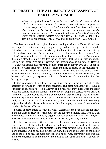#### **III. PRAYER—THE ALL-IMPORTANT ESSENCE OF EARTHLY WORSHIP**

*Where the spiritual consciousness is concerned—the department which asks the question and demands the evidence—no evidence is competent or relevant except such as is spiritual. Only that which is above matter and above logic can be heard, because the very question at issue is the existence and personality of a spiritual and supernatural God. Only the Spirit himself beareth witness with our spirit. This must be done in a spiritual or supernatural way, or it cannot be done at all.*—C.L. Chilton

The Jewish law and the prophets know something of God as a Father. Occasional and imperfect, yet comforting glimpses they had of the great truth of God's Fatherhood, and of our sonship. Christ lays the foundation of prayer deep and strong with this basic principle. The law of prayer, the right to pray, rests on sonship. "Our Father" brings us into the closest relationship to God. Prayer is the child's approach, the child's plea, the child's right. It is the law of prayer that looks up, that lifts up the eye to "Our Father, Who art in Heaven." Our Father's house is our home in Heaven. Heavenly citizenship and heavenly homesickness are in prayer; Prayer is an appeal from the lowness, from the emptiness, from the need of earth, to the highness, the fullness and to the all-sufficiency of Heaven. Prayer turns the eye and the heart heavenward with a child's longings, a child's trust and a child's expectancy. To hallow God's Name, to speak it with bated breath, to hold it sacredly, this also belongs to prayer.

In this connection it might be said that it is requisite to dictate to children the necessity of prayer in order to their salvation. But alas! Unhappily it is thought sufficient to tell them there is a Heaven and a hell; that they must avoid the latter place and seek to reach the former. Yet they are not taught the easiest way to arrive at salvation. The only way to Heaven is by the route of prayer, such prayer of the heart which every one is capable of. It is prayer, not of reasonings which are the fruits of study, or of the exercise of the imagination, which fills the mind with wondering objects, but which fails to settle salvation, but the simple, confidential prayer of the child to his Father in Heaven.

Poverty of spirit enters into true praying. "Blessed are the poor in spirit, for theirs is the kingdom of Heaven." "The poor" means paupers, beggars, those who live on the bounties of others, who live by begging. Christ's people live by asking. "Prayer is the Christian's vital breath." It is his affluent inheritance, his daily annuity.

In His own example, Christ illustrates the nature and necessity of prayer. Everywhere He declares that he who is on God's mission in this world will pray. He is an illustrious example of the principle that the more devoted the man is to God, the more prayerful will he be. The diviner the man, the more of the Spirit of the Father and of the Son he has, the more prayerful will he be. And, conversely, it is true that the more prayerful he is, the more of the Spirit of the Father and of the Son will he receive.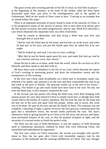The great events and crowning periods of the life of Jesus we find Him in prayer at the beginning of His ministry, at the fords of the Jordan, when the Holy Spirit descended upon Him; just prior to the transfiguration, and in the garden of Gethsemane. Well do the words of Peter come in here: "Leaving us an example that ye should follow His steps."

There is an important principle of prayer found in some of the miracles of Christ. It is the progressive nature of the answer to prayer. Not at once does God always give the full answer to prayer, but rather progressively, step by step. Mark 8:22 describes a case which illustrates this important truth, too often overlooked.

*"And he cometh to Bethsaida; and they bring a blind man unto him, and besought him to touch him.*

*"And he took the blind man by the hand, and led him out of the town; and when he had spit on his eyes, and put His hands upon him, he asked him if he saw aught.*

*"And he looked up, and said, I see men as trees, walking.'*

*"After that he put his hands again upon his eyes, and made him look up; and he was restored, and saw every man clearly."*

Alone He has to take us at times, aside from the world, where He can have us all to Himself, and there speak to and deal with us.

We have three cures in blindness in the life of our Lord, which illustrate the nature of God's working in answering prayer, and show the exhaustless variety and the omnipotence of His working.

In the first case Christ came incidentally on a blind man at Jerusalem, made clay, softened it by spittle, and smeared it on the eyes and then commanded the man to go and wash in the pool of Siloam. The gracious results lay at the end of his action washing. The failure to go and wash would have been fatal to the cure. No one, not even the blind man, in this instance, requested the cure.

In the second case the parties who bring the blind man, back their bringing with earnest prayer for cure; they beseech Christ to simply touch him, as though their faith would relieve the burden of a heavy operation. But He took the man by the hand and led him out of the town and apart from the people. Alone, and in secret, this work was to be done. He spat on his eyes and put his hands on them. The response was not complete, a dawning of light, a partial recovery; the first gracious communication but gave him a disordered vision, the second stroke perfected the cure. The man's submissive faith in giving himself up to Christ to be led away into privacy and alone, were prominent features of the cure, as also the gradual reception of sight, and the necessity of a second stroke to finish the perfect work.

The third was the case of blind Bartimæus. It was the urgency of faith declaring itself in clamourous utterances, rebuked by those who were following Christ, but intensified and emboldened by opposition.

The first case comes on Christ unawares; the second was brought with specific intent to Him; the last goes after Christ with irresistible urgency, met by the resistance of the multitude and the seeming indifference of Christ. The cure, though,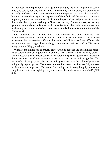was without the interposition of any agent, no taking by the hand, no gentle or severe touch, no spittle, nor clay, nor washing—a word only and his sight, full-orbed, came instantly. Each one had experienced the same divine power, the same blessed results, but with marked diversity in the expression of their faith and the mode of their cure. Suppose, at their meeting, the first had set up the particulars and process of his cure, the spittle, the clay, the washing in Siloam as the only Divine process, as the only genuine credentials of a Divine work, how far from the truth, how narrow and misleading such a standard of decision! Not methods, but results, are the tests of the Divine work.

Each one could say: "This one thing I know, whereas I was blind I now see." The results were conscious results; that Christ did the work they knew; faith was the instrument, but its exercise different; the method of Christ's working different; the various steps that brought them to the gracious end on their part and on His part at many points strikingly dissimilar.

What are the limitations of prayer? How far do its benefits and possibilities reach? What part of God's dealing with man, and with man's world, is unaffected by prayer? Do the possibilities of prayer cover all temporal and spiritual good? The answers to these questions are of transcendental importance. The answer will gauge the effort and results of our praying. The answer will greatly enhance the value of prayer, or will greatly depress prayer. The answer to these important questions are fully covered by Paul's words on prayer: "Be careful for nothing, but in everything, by prayer and supplication, with thanksgiving, let your requests be made known unto God" (Phil. 4:6).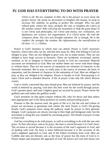#### **IV. GOD HAS EVERYTHING TO DO WITH PRAYER**

*Christ is all. We are complete in Him. He is the answer to every need, the perfect Savior. He needs no decoration to heighten His beauty, no prop to increase His stability, no girding to perfect His strength. Who can gild refined gold, whiten the snow, perfume the rose or heighten the colors of the summer sunset? Who will prop the mountains or help the great deep? It is not Christ and philosophy, nor Christ and money, nor civilization, nor diplomacy, nor science, nor organisation. It is Christ alone. He trod the winepress alone. His own arm brought salvation. He is enough. He is the comfort, the strength, the wisdom, the righteousness, the sanctification of all man.*—C. L. Chilton.

Prayer is God's business to which men can attend. Prayer is God's necessary business, which men only can do, and that men must do. Men who belong to God are obliged to pray. They are not obliged to grow rich, nor to make money. They are not obliged to have large success in business. These are incidental, occasional, merely nominal, as far as integrity to Heaven and loyalty to God are concerned. Material successes are immaterial to God. Men are neither better nor worse with those things or without them. They are not sources of reputation nor elements of character in the heavenly estimates. But to pray, to really pray, is the source of revenue, the basis of reputation, and the element of character in the estimation of God. Men are obliged to pray as they are obliged to be religious. Prayer is loyalty to God. Non-praying is to reject Christ and to abandon Heaven. A life of prayer is the only life which Heaven counts.

God is vitally concerned that men should pray. Men are bettered by prayer, and the world is bettered by praying. God does His best work for the world through prayer. God's greatest glory and man's highest good are secured by prayer. Prayer forms the godliest men and makes the godliest world.

God's promises lie like giant corpses without life, only for decay and dust unless men appropriate and vivify these promises by earnest and prevailing prayer.

Promise is like the unsown seed, the germ of life in it, but the soil and culture of prayer are necessary to germinate and culture the seed. Prayer is God's life-giving breath. God's purposes move along the pathway made by prayer to their glorious designs. God's purposes are always moving to their high and benignant ends, but the movement is along the way marked by unceasing prayer. The breath of prayer in man is from God.

God has everything to do with prayer, as well as everything to do with the one who prays. To him who prays, and as he prays, the hour is sacred because it is God's hour. The occasion is sacred because it is the occasion of the soul's approach to God, and of dealing with God. No hour is more hallowed because it is the occasion of the soul's mightiest approach to God, and of the fullest revelation from God. Men are Godlike and men are blessed, just as the hour of prayer has the most of God in it. Prayer makes and measures the approach of God. He knows not God who knows not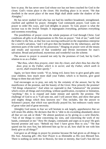how to pray. He has never seen God whose eye has not been couched for God in the closet. God's vision place is the closet. His dwelling place is in secret. "He that dwelleth in the secret place of the most High shall abide under the shadow of the Almighty."

He has never studied God who has not had his intellect broadened, strengthened, clarified and uplifted by prayer. Almighty God commands prayer, God waits on prayer to order His ways, and God delights in prayer. To God, prayer is what the incense was to the Jewish Temple. It impregnates everything, perfumes everything and sweetens everything.

The possibilities of prayer cover the whole purposes of God through Christ. God conditions all gifts in all dispensations to His Son on prayer: "Ask of me," saith God the Father to the Son, as that Son was moving earthward on the stupendous enterprise for a world's salvation, "and I will give thee the heathen for thy inheritance, and the uttermost parts of the earth for thy possession." Hinging on prayer were all the means and results and successes of that wonderful and Divine movement for man's salvation. Broad and profound, mysterious and wonderful was the scheme.

The answer to prayer is assured not only by the promises of God, but by God's relation to us as a Father.

*"But thou, when thou prayest, enter into thy closet, and when thou has shut thy door, pray to thy Father, which is in secret; and thy Father, which seeth in secret, shall reward thee openly."*

Again, we have these words: "If ye, being evil, know how to give good gifts unto your children, how much more shall your Father, which is in heaven, give good things to them that ask him?"

God encourages us to pray, not only by the certainty of the answer, but by the munificence of the promise, and the bounty of the Giver. How princely the promise! "All things whatsoever." And when we superadd to that "whatsoever" the promise which covers all things and everything, without qualification, exception or limitation, "anything," this is to expand and make minute and specific the promise. The challenge of God to us is "Call unto me, and I will answer thee, and show thee great arid mighty things which thou knowest not." This includes, like the answer to Solomon's prayer, that which was specifically prayed for, but embraces vastly more of great value and of great necessity.

Almighty God seems to fear we will hesitate to ask largely, apprehensive that we will strain His ability. He declares that He is "able to do exceeding abundantly above all that we can ask or think." He almost paralyses us by giving us a *carte blanche*, "Ask of me things to come concerning my sons, and concerning the work of my hands, command ye me." How He charges, commands and urges us to pray! He goes beyond promise and says: "Behold my Son! I have given Him to you." "He that spared not his own Son, but delivered him up for us all, how shall he not with him freely give us all things?"

God gave us all things in prayer by promise because He had given us all things in His Son. Amazing gift—His Son! Prayer is as illimitable as His own Blessed Son. There is nothing on earth nor in Heaven, for time or eternity, that God's Son did not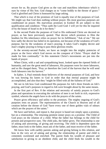secure for us. By prayer God gives us the vast and matchless inheritance which is ours by virtue of His Son. God charges us to "come boldly to the throne of grace." God is glorified and Christ is honoured by large asking.

That which is true of the promises of God is equally true of the purposes of God. We might say that God does nothing without prayer. His most gracious purposes are conditioned on prayer. His marvelous promises in Ezekiel 36 are subject to this qualification and condition: "Thus saith the Lord God: I will yet for this be inquired of by the house of Israel to do it for them."

In the second Psalm the purposes of God to His enthroned Christ are decreed on prayer, as has been previously quoted. That decree which promises to Him the heathen for His inheritance relies on prayer for its fulfillment: "Ask of me." We see how sadly the decree has failed in its operation, not because of the weakness of God's purpose, but by the weakness of man's praying. It takes God's mighty decree and man's mighty praying to bring to pass these glorious results.

In the seventy-second Psalm, we have an insight into the mighty potencies of prayer as the force which God moves on the conquest of Christ: "Prayer shall be made for him continually." In this statement Christ's movements are put into the hands of prayer.

When Christ, with a sad and sympathising heart, looked upon the ripened fields of humanity, and saw the great need of labourers, His purposes were for more labourers, and so He charged them, "Pray ye therefore the Lord of the harvest that he will send forth labourers into his harvest."

In Ephes. 3, Paul reminds those believers of the eternal purposes of God, and how he was bowing his knees to God in order that that eternal purpose might be accomplished, and also that they "might be filled with all the fullness of God."

We see in Job how God conditioned His purposes for Job's three friends on Job's praying, and God's purposes in regard to Job were brought about by the same means.

In the first part of Rev. 8 the relation and necessity of saintly prayers to God's plans and operations in executing the salvation of men is set forth in rich, expressive symbol, wherein the angels have to do with the prayers of the saints.

Prayer gives efficiency and utility to the promises. The mighty ongoing of God's purposes rests on prayer. The representatives of the Church in Heaven and of all creation before the throne of God "have every one of them golden vials of odours which are the prayers of the saints."

We have said before, and repeat it, that prayer is based not simply upon a promise, but on a relationship. The returning penitent sinner prays on a promise. The Child of God prays on the relation of a child. What the father has belongs to the child for present and prospective uses. The child asks, the father gives. The relationship is one of asking and answering, of giving and receiving. The child is dependent upon the father, must look to the father, must ask of the father, and must receive of the father.

We know how with earthly parents asking and giving belong to this relation, and how in the very act of asking and giving, the relationship of parent and child is cemented, sweetened and enriched. The parent finds his wealth of pleasure and satisfaction in giving to an obedient child, and the child finds his wealth in the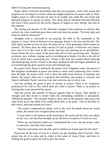father's loving and continuous giving.

Prayer affects God more powerfully than His own purposes. God's will, words and purposes are all subject to review when the mighty potencies of prayer come in. How mighty prayer is with God may be seen as he readily sets aside His own fixed and declared purposes in answer to prayer. The whole plan of salvation had been blocked had Jesus Christ prayed for the twelve legions of angels to carry dismay and ruin to His enemies.

The fasting and prayers of the Ninevites changed Gods purposes to destroy that wicked city. after Jonah had gone there and cried unto the people, "Yet forty days and Ninevah shall be destroyed."

Almighty God is concerned in our praying. He wills it, He commands it, He inspires it. Jesus Christ in Heaven is ever praying. Prayer is His law and His life. The Holy Spirit teaches us how to pray. He prays for us "with groanings which cannot be uttered." All these show the deep concern of God in prayer. It discloses very dearly how vital it is to His work in this world, and how far-reaching are its possibilities. Prayer forms the very center of the heart and will of God concerning men. "Rejoice evermore, pray without ceasing, and in everything give thanks. For this is the will of God in Christ Jesus concerning you." Prayer is the pole star around which rejoicing and thanksgiving revolve. Prayer is the heart sending its full and happy pulsations up to God through the glad currents of joy and thanksgiving.

By prayer God's Name is hallowed. By prayer God's kingdom comes. By prayer is His kingdom established in power and made to move with conquering force swifter than the light. By prayer God's will is done till earth rivals Heaven in harmony and beauty. By prayer daily toil is sanctified and enriched, and pardon is secured, and Satan is defeated. Prayer concerns God, and concerns man in every way.

God has nothing too good to give in answer to prayer. There is no vengeance pronounced by God so dire which does not yield to prayer. There is no justice so flaming that is not quenched by prayer.

Take the record and attitude of Heaven against Saul of Tarsus. That attitude is changed and that record is erased when the astonishing condition is announced, "Behold he prayeth." The recreant Jonah is alive, and on dry ground, with scarce the taste of the sea or the smell of its weeds about him, as he prays. "Out of the belly of hell cried I, and thou heardst my voice."

*"The waters compassed me about, even to the soul; the depth closed me round about, the weeds were wrapped about my head.*

*"I went down to the bottoms of the mountains; the earth with her bars was about me for ever; yet hast thou brought up my life from corruption, O Lord my God.*

*"When my soul fainted within me I remembered the Lord: and my prayer came in unto thee, into thine holy temple.*

*"And the Lord spake unto the fish, and it vomited out Jonah upon the dry land."*

Prayer has all the force of God in it. Prayer can get anything which God has. Thus prayer has all of its plea and its claim in the name of Jesus Christ, and there is nothing too good or great for God to give that name.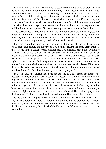It must be borne in mind that there is no test surer than this thing of prayer of our being in the family of God. God's children pray. They repose in Him for all things. They ask Him for all things—for everything. The faith of the child in the father is evinced by the child's asking. It is the answer to prayer which convinces men not only that there is a God, but that He is a God who concerns Himself about men, and about the affairs of this world. Answered prayer brings God nigh, and assures men of His being. Answered prayer is the credentials of our relation to and our representative of Him. Men cannot represent God who do not get answers to prayer from Him.

The possibilities of prayer are found in the illimitable promise, the willingness and the power of God to answer prayer, to answer all prayer, to answer every prayer, and to supply fully the illimitable need of man. None are so needy as man, none are so able and anxious to supply every need and any need as God.

Preaching should no more fully declare and fulfill the will of God for the salvation of all men, than should the prayers of God's saints declare the same great truth' as they wrestle in their closet for this sublime end. God's heart is set on the salvation of all men. This concerns God. He has declared this in the death of His Son by an unspeakable voice, and every movement on earth for this end pleases God. And so He declares that our prayers for the salvation of all men are well pleasing in His sight. The sublime and holy inspiration of pleasing God should ever move us to prayer for all men. God eyes the closet, and nothing we can do pleases Him better than our large-hearted, ardent praying for all men. It is the embodiment and test of our devotion to God's will and of our sympathetic loyalty to God.

In 1 Tim. 2:13 the apostle Paul does not descend to a low plane, but presses the necessity of prayer by the most forceful facts. Jesus Christ, a man, the God-man, the highest illustration of manhood, is the Mediator between God and man. Jesus Christ, this Divine man, died for all men. His life is but an intercession for all men. His death is but a prayer for all men. On earth, Jesus Christ knew no higher law, no holier business, no diviner life, than to plead for men. In Heaven He knows no more royal estate, no higher theme, than to intercede for men. On earth He lived and prayed and died for men. His life, His death and His exaltation in Heaven all plead for men.

Is there any work, higher work for the disciple to do than His Lord did? Is there any loftier employment, more honourable, more divine, than to pray for men? To take their woes, their sins, and their perils before God; to be one with Christ? To break the thrall which binds them, the hell which holds them and lift them to immortality and eternal life?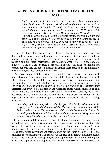## **V. JESUS CHRIST, THE DIVINE TEACHER OF PRAYER**

*A friend of mine in his journey is come to me, and I have nothing to set before him! He knocks again. "Friend! lend me three loaves?" He waits a while and then knocks again. "Friend! I must have three loaves!" "Trouble me not: the door is now shut; I cannot rise and give thee!" He stands still. He turns to go home. He comes back. He knocks again. "Friend!" he cries. He puts his ear to the door. There is a sound inside, and then the light of a candle shines through the hole of the door. The bars of the door are drawn back, and he gets not three loaves only, but as many as he needs. "And I say unto you, Ask and it shall be given you; seek and ye shall find; knock and it shall be opened unto you."*—Alexander Whyte, D.D.

Jesus Christ was the Divine Teacher of prayer. Its power and nature had been illustrated by many a saint and prophet in olden times, but modern sainthood and modern teachers of prayer had lost their inspiration and life. Religiously dead, teachers and superficial ecclesiastics had forgotten what it was to pray. They did much of saying prayers, on state occasions, in public, with much ostentation and parade, but pray they did not. To them it was almost a lost practice. In the multiplicity of saying prayers they had lost the art of praying.

The history of the disciples during the earthly life of our Lord was not marked with much devotion. They were much enamoured by their personal association with Christ. They were charmed by His words, excited by His miracles, and were entertained and concerned by the hopes which a selfish interest aroused in His person and mission. Taken up with the superficial and worldly views of His character, they neglected and overlooked the deeper and weightier things which belonged to Him and His mission. The neglect of the most obliging and ordinary duties by them was a noticeable feature in their conduct. So evident and singular was their conduct in this regard, that it became a matter of grave inquiry on one occasion and severe chiding on another.

*"And they said unto him, Why do the disciples of John fast often, and make prayers, and likewise the disciples of the Pharisees; but thine eat and drink? And he said unto them, Can ye make the children of the bridechamber fast, while the bridegroom is with them? But the days will come, when the bridegroom shall be taken away from them, and then shall they fast in those days."*

In the example and the teaching of Jesus Christ, prayer assumes its normal relation to God's person, God's movements and God's Son. Jesus Christ was essentially the teacher of prayer by precept and example. We have glimpses of His praying which, like indices, tell how full of prayer the pages, chapters and volumes of His life were. The epitome which covers not one segment only, but the whole circle of His life, and character, is pre-eminently that of prayer! "In the days of his flesh," the Divine record reads, "when he had offered up prayers and supplications, with strong crying and tears." The suppliant of all suppliants He was, the intercessor of all intercessors. In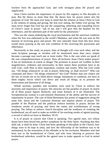lowliest form He approached God, and with strongest pleas He prayed and supplicated.

Jesus Christ teaches the importance of prayer by His urgency to His disciples to pray. But He shows us more than that. He shows how far prayer enters into the purposes of God. We must ever keep in mind that the relation of Jesus Christ to God is the relation of asking and giving, the Son ever asking, the Father ever giving. We must never forget that God has put the conquering, inheriting and expanding forces of Christ's cause in prayer. "ask of me, and I will give thee the heathen for thy inheritance, and the uttermost part of the earth for thy possession."

This was the clause embodying the royal proclamation and the universal condition when the Son was enthroned as the world's Mediator, and when He was sent on His mission of receiving grace and power. We very naturally learn from this how Jesus would stress praying as the one sole condition of His receiving His possession and inheritance.

Necessarily in this study on prayer, lines of thought will cross each other, and the same Scripture passage or incident will be mentioned more than once, simply because a passage may teach one or more truths. This is the case when we speak of the vast comprehensiveness of prayer. How all-inclusive Jesus Christ makes prayer! It has no limitations in extent or things! The promises to prayer are Godlike in their magnificence, wideness and universality. In their nature these promises have to do with God—with Him in their inspiration, creation and results. Who but God could say, "All things whatsoever ye ask in prayer, believing, ye shall receive?" Who can command and direct "All things whatsoever" but God? Neither man nor chance nor the law of results are so far lifted above change, limitations or condition, nor have in them mighty forces which can direct and result all things, as to promise the bestowment and direction of all things.

Whole sections, parables and incidents were used by Christ to enforce the necessity and importance of prayer. His miracles are but parables of prayer. In nearly all of them prayer figures distinctly, and some features of it are illustrated. The Syrophoenician woman is a pre-eminent illustration of the ability and the success of importunity in prayer. The case of blind Bartimæus has points of suggestion along the same line. Jairus and the Centurion illustrate and impress phases of prayer. The parable of the Pharisee and the publican enforce humility in prayer, declare the wondrous results of praying, and show the vanity and worthlessness of wrong praying. The failure to enforce church discipline and the readiness of violating the brotherhood, are all used to make an exhibit of far-reaching results of agreed praying, a record of which we have in Matthew 18:19.

It is of prayer in concert that Christ is speaking. Two agreed ones, two whose hearts have been keyed into perfect symphony by the Holy Spirit. Anything that they shall ask, it shall be done. Christ had been speaking of discipline in the Church, how things were to be kept in unity, and how the fellowship of the brethren was to be maintained, by the restoration of the offender or by his exclusion. Members who had been true to the brotherhood of Christ, and who were laboring to preserve that brotherhood unbroken, would be the agreed ones to make appeals to God in united prayer.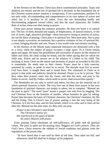In the Sermon on the Mount, Christ lays down constitutional principles. Types and shadows are retired, and the law of spiritual life is declared. In this foundation law of the Christian system prayer assumes a conspicuous, if not a paramount, position It is not only wide, all-commanding and comprehensive in its own sphere of action and relief, but it is ancillary to all duties. Even the one demanding kindly and discriminating judgment toward others, and also the royal injunction, the Golden Rule of action, these owe their being to prayer.

Christ puts prayer among the statutory promises. He does not leave it to natural law. The law of need, demand and supply, of helplessness, of natural instincts, or the law of sweet, high, attractive privilege—these howsoever strong as motives of action, are not the basis of praying. Christ puts it as spiritual law. Men must pray. Not to pray is not simply a privation, an omission, but a positive violation of law, of spiritual life, a crime, bringing disorder and ruin. Prayer is law world-wide and eternity-reaching.

In the Sermon on the Mount many important utterances are dismissed with a line or a verse, while the subject of prayer occupies a large space. To it Christ returns again and again. He bases the possibilities and necessities of prayer on the relation of father and child, the child crying for bread, and the father giving that for which the child asks. Prayer and its answer are in the relation of a father to his child. The teaching of Jesus Christ on the nature and necessity of prayer as recorded in His life, is remarkable. He sends men to their closets. Prayer must be a holy exercise, untainted by vanity, or pride. It must be in secret. The disciple must live in secret. God lives there, is sought there and is found there. The command of Christ as to prayer is that pride and publicity should be shunned. Prayer is to be in private. "But thou when thou prayest, enter into thy closet, and shut thy door, and pray to thy Father in secret. And thy Father, which seeth in secret, shall reward thee openly."

The Beatitudes are not only to enrich and adorn, but they are the material out of which spiritual character is built. The very first one of these fixes prayer in the very foundation of spiritual character, not simply to adorn, but to compose. "Blessed are the poor in spirit." The word "poor" means a pauper, one who lives by begging. The real Christian lives on the bounties of another, whose bounties he gets by asking. Prayer then becomes the basis of Christian character, the Christian's business, his life and his living. This is Christ's law of prayer, putting it into the very being of the Christian. It is his first step, and his first breath, which is to color and to form all his after life. Blessed are the poor ones, for they only can pray.

*Prayer is the Christian's vital breath, The Christian's native air; His watchword at the gates of death; He enters Heaven with prayer.*

From praying Christ eliminates all self-sufficiency, all pride; and all spiritual values. The poor in spirit are the praying ones. Beggars are God's princes. They are God's heirs. Christ removes the rubbish of Jewish traditions and glosses from the regulations of the prayer altar.

*"Ye have heard that it was said by them of old time, Thou shalt not kill; and whosoever shall kill shall be in danger of the judgment:*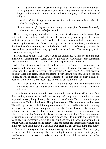*"But I say unto you, that whosoever is angry with his brother shall be in danger of the judgment: and whosoever shall say to his brother, Raca, shall be in danger of the council: but whosoever shall say, thou fool, shall be in danger of hell fire.*

*"Therefore if thou bring thy gift to the altar and there rememberest that thy brother has aught against thee:*

*"Leave there thy gift before the altar, and go thy way; first, be reconciled to thy brother, and then come and offer thy gift."*

He who essays to pray to God with an angry spirit, with loose and irreverent lips, with an irreconciled heart, and with unsettled neighbourly scores, spends his labour for that which is worse than naught, violates the law of prayer, and adds to his sin.

How rigidly exacting is Christ's law of prayer! It goes to the heart, and demands that love be enthroned there, love to the brotherhood. The sacrifice of prayer must be seasoned and perfumed with love, by love in the inward parts. The law of prayer, its creator and inspirer, is love.

Praying must be done. God wants it done. He commands it. Man needs it and man must do it. Something must surely come of praying, for God engages that something shall come out of it, if men are in earnest and are persevering in prayer.

After Jesus teaches "Ask and it shall be given you," etc., He encourages real praying, and more praying. He repeats and avers with redoubled assurance, " for every one that asketh receiveth." No exception. "Every one." "He that seeketh, findeth." Here it is again, sealed and stamped with infinite veracity. Then closed and signed, as well as sealed, with Divine attestation, "To him that knocketh it shall be opened." Note how we are encouraged to pray by our relation to God!

*"If ye then, being evil, know how to give good gifts unto your children, how much more shall your Father which is in Heaven give good things to them that ask him?"*

The relation of prayer to God's work and God's rule in this world is most fully illustrated by Jesus Christ in both His teaching and His practice. He is first in every way and in everything. Among the rulers of the Church He is primary in a preeminent way. He has the throne. The golden crown is His in eminent preciousness. The white garments enrobe Him in pre-eminent whiteness and beauty. In the ministry of prayer He is a Divine example as well as the Divine Teacher. His example is affluent, and His prayer teaching abounds. How imperative the teaching of our Lord when He affirms that "men ought always to pray and not to faint!" and then presents a striking parable of an unjust judge and a poor widow to illustrate and enforce His teaching. It is a necessity to pray. It is exacting and binding for men always to be in prayer. Courage, endurance and perseverance are demanded that men may never faint in prayer. "And shall not God avenge his own elect that cry day and night unto him?"

This is His strong and indignant questioning and affirmation. Men must pray according to Christ's teaching. They must not get tired nor grow weary in praying. God's character is the assured surety that much will come of the persistent praying of true men.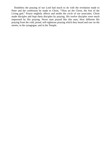Doubtless the praying of our Lord had much to do with the revelation made to Peter and the confession he made to Christ, "Thou art the Christ, the Son of the Living god." Prayer mightily affects and molds the circle of our associates. Christ made disciples and kept them disciples by praying. His twelve disciples were much impressed by His praying. Never man prayed like this man. How different His praying from the cold, proud, self-righteous praying which they heard and saw on the streets, in the synagogue, and in the Temple.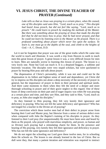## **VI. JESUS CHRIST, THE DIVINE TEACHER OF PRAYER** *(Continued)*

*Luke tells us that as Jesus was praying in a certain place, when He ceased, one of His disciples said unto Him, "Lord, teach us to pray." This disciple had heard Jesus preach, but did not feel like saying, "Lord, teach us to preach." He could learn to preach by studying the methods of the Master. But there was something about the praying of Jesus that made the disciple feel that he did not know how to pray; that he had never prayed, and that he could not learn by listening even to the Master as He prayed. There is a profound something about prayer which never lies upon the surface. To learn it, one must go to the depths of the soul, and climb to the heights of God.*—A. C. Dixon, D.D.

Let it not be forgotten that prayer was one of the great truths which He came into the world to teach and illustrate. It was worth a trip from Heaven to earth to teach men this great lesson of prayer. A great lesson it was, a very difficult lesson for men to learn. Men are naturally averse to learning this lesson of prayer. The lesson is a very lowly one. None but God can teach it. It is a despised beggary, a sublime and heavenly vocation. The disciples were very stupid scholars, but were quickened to prayer by hearing Him pray and talk about prayer.

The dispensation of Christ's personality, while it was not and could not be the dispensation in its fullest and highest sense of need and dependence, yet Christ did try to impress on His disciples not alone a deep necessity of the necessity of prayer in general, but the importance of prayer to them in their personal and spiritual needs. And there came moments to them when they felt the need of a deeper and more thorough schooling in prayer and of their grave neglect in this regard. One of these hours of deep conviction on their part and of eager inquiry was when He was praying at a certain place and time, and they saw Him, and they said to Him, "Lord, teach us to pray, as John also taught his disciples."

As they listened to Him praying, they felt very keenly their ignorance and deficiency in praying. Who has not felt the same deficiency and ignorance? Who has not longed for a teacher in the Divine art of praying?

The conviction which these twelve men had of their defect in prayer arose from hearing their Lord and Master pray, but likewise from a sense of serious defect even when compared with John the Baptist's training of his disciples in prayer. As they listened to their Lord pray (for unquestionably He must have been seen and heard by them as He prayed, who prayed with marvelous simplicity, and power, so human and so Divine) such praying had a stimulating charm for them. In the presence and hearing of His praying, very keenly they felt their ignorance and deficiency in prayer. Who has not felt the same ignorance and deficiency?

We do not regret the schooling our Lord gave these twelve men, for in schooling them He schools us. The lesson is one already learned in the law of Christ. But so dull were they, that many a patient iteration and reiteration was required to instruct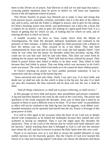them in this Divine art of prayer. And likewise so dull are we and inapt that many a wearying patient repetition must be given us before we will learn any important lesson in the all-important school of prayer.

This Divine Teacher of prayer lays Himself out to make it clear and strong that God answers prayer, assuredly, certainly, inevitably; that it is the duty of the child to ask, and to press, and that the Father is obliged to answer, and to give for the asking. In Christ's teaching, prayer isno sterile, vain performance, not a mere rite, a form, but a request for an answer, a plea to gain, the seeking of a great good from God. It is a lesson of getting that for which we ask, of finding that for which we seek, and of entering the door at which we knock.

A notable occasion we have as Jesus comes down from the Mount of Transfiguration. He finds His disciples defeated, humiliated and confused in the presence of their enemies. A father has brought his child possessed with a demon to have the demon cast out. They essayed to do it but failed. They had been commissioned by Jesus and sent to do that very work, but had signally failed. "And when he was come into the house, his disciples asked him privately, saying, Why could not we cast him out? And he said unto them, This kind can come forth by nothing but by prayer and fasting." Their faith had not been cultured by prayer. They failed in prayer before they failed in ability to do their work. They failed in faith because they had failed in prayer. That one thing which was necessary to do God's work was prayer. The work which God sends us to do cannot be done without prayer.

In Christ's teaching on prayer we have another pertinent statement. It was in connection with the cursing of the barren fig tree:

"Jesus answered and said unto them, Verily I say unto you, if ye have faith, and doubt not, ye shall not only do this which is done to the fig tree, but also if ye shall say unto this mountain, Be thou removed and be thou cast into the sea; it shall be done.

#### *"And all things whatsoever ye shall ask in prayer, believing, ye shall receive."*

In this passage we have faith and prayer, their possibilities and powers conjoined. A fig tree had been blasted to the roots by the word of the Lord Jesus. The power and quickness of the result surprised the disciples. Jesus says to them that it need be no surprise to them or such a difficult work to be done. "If ye have faith" its possibilities to affect will not be confined to the little fig tree, but the gigantic, rock-ribbed, rockfounded mountains can be uprooted and moved into the sea. Prayer is leverage of this great power of faith.

It is well to refer again to the occasion when the heart of our Lord was so deeply moved with compassion as he beheld the multitudes because they fainted and were scattered as having no shepherd. Then it was He urged upon His disciples the injunction, "Pray ye the Lord of the harvest that he would send forth labourers into his harvest," dearly teaching them that it belonged to God to call into the ministry men whom He will, and that in answer to prayer the Holy Spirit does this very work.

Prayer is as necessary now as it was then to secure the needed labourers to reap earthly harvests for the heavenly garners. Has the Church of God ever learned this lesson of so vital and exacting import? God alone can choose the labourers and thrust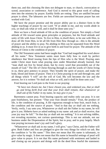them out, and this choosing He does not delegate to man, or church, convocation or synod, association or conference. And God is moved to this great work of calling men into the ministry by prayer. Earthly fields are rotting. They are untilled because prayer is silent. The labourers are few. Fields are unworked because prayer has not worked with God.

We have the prayer promise and the prayer ability put in a distinct form in the higher teachings of prayer by our Lord: "If ye abide in me, and my words abide in you, ye shall ask what ye will, and it shall be done unto you."

Here we have a fixed attitude of life as the condition of prayer. Not simply a fixed attitude of life toward some great principles or purposes, but the fixed attitude and unity of life with Jesus Christ. To live in Him, to dwell there, to be one with Him, to draw all life from Him, to let all life from Him flow through us—this is the attitude of prayer and the ability to pray. No abiding in Him can be separated from His Word abiding in us. It must live in us to give birth to and food for prayer. The attitude of the Person of Christ is the condition of prayer.

The Old Testament saints had been taught that "God had magnified his word above all his name." New Testament saints must learn fully how to exalt by perfect obedience that Word issuing from the lips of Him who is the Word. Praying ones under Christ must learn what praying ones under Moseshad already learned, that "man shall not live by bread alone, but by every word that proceedeth out of the mouth of God." The life of Christ flowing through us and the words of Christ living in us, these give potency to prayer. They breathe the spirit of prayer, and make the body, blood and bones of prayer. Then it is Christ praying in me and through me, and all things which "I will" are the will of God. My will becomes the law and the answer, for it is written "Ye shall ask what ye will, and it shall be done unto you."

Fruit bearing our Lord puts to the front in our praying:

*"Ye have not chosen me, but I have chosen you, and ordained you, that ye shall go and bring forth fruit and that your fruit shall remain, that whatsoever ye shall ask of the Father in my name, he may give it you."*

Barrenness cannot pray. Fruit bearing capacity and reality only can pray. It is not past fruitfulness, but present: "That your fruit should remain." Fruit, the product of life, is the condition of praying. A life vigourous enough to bear fruit, much fruit, is the condition and the source of prayer. "And in that day ye shall ask me nothing. Verily, verily, I say unto you, Whatsoever ye shall ask the Father in my name, he will give it you. Hitherto have ye asked nothing in my name: ask and ye shall receive, that your joy may be full." "In that day ye shall ask me nothing." It is not solving riddles, not revealing mysteries, not curious questionings. This is not our attitude, not our business under the Dispensation of the Spirit, but to pray, and to pray largely. Much true praying increases man's joy and God's glory.

"Whatsoever ye shall ask in my name, I will give," says Christ, and the Father will give. Both Father and Son are pledged to give the very things for which we ask. But the condition is "in His name." This does not mean that His name is talismanic, to give value by magic. It does not mean that His name in beautiful settings of pearl will give value to prayer. It is not that His name perfumed with sentiment and larded in and closing up our prayers and doings will do the deed How fearful the statement: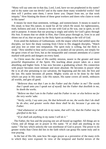"Many will say unto me in that day, Lord, Lord, have we not prophesied in thy name? and in thy name cast out devils? and in thy name done many wonderful works? And then will I profess unto them, I never knew you. Depart from me, ye that work iniquity." How blasting the doom of these great workers and doers who claim to work in His name!

It means far more than sentiment, verbiage, and nomenclature. It means to stand in His stead, to bear His nature, to stand for all for which He stood, for righteousness, truth, holiness and zeal. It means to be one with God as He was, one in spirit, in will and in purpose. It means that our praying is singly and solely for God's glory through His Son. It means that we abide in Him, that Christ prays through us, lives in us and shines out of us; that we pray by the Holy Spirit according to the will of God.

Even amid the darkness of Gethsemane, with the stupor which had settled upon the disciples, we have the sharp warning from Christ to His sluggish disciples, "Watch and pray lest ye enter into temptation. The spirit truly is willing, but the flesh is weak." How needful to hear such a warning, to awaken all our powers, not simply for the great crises of our lives, but as the inseparable and constant attendants of a career marked with perils and dangers on every hand.

As Christ nears the close of His earthly mission, nearer to the greater and more powerful dispensation of the Spirit, His teaching about prayer takes on a more absorbing and higher form. It has now become a graduating school. His connection with prayer becomes more intimate and more absolute. He becomes in prayer what He is in all else pertaining to our salvation, the beginning and the end, the first and the last. His name becomes all potent. Mighty works are to be done by the faith which can pray in His name. Like His nature, His name covers all needs, embraces all worlds, and gets all good.

*"Believest thou not that I am in the Father and the Father in me? The words that I speak unto you I speak not of myself: but the Father that dwelleth in me, he doeth the works.*

*"Believe me that I am in the Father and the Father in me: or else believe me for the very works'sake.*

*"Verily, verily, I say unto you, He that believeth on me, the works that I do shall he do also; and greater works than these shall he do; because I go unto my Father.*

*"And whatsoever ye shall ask in my name, that will I do, that the Father may be glorified in the Son.*

*"If ye shall ask anything in my name I will do it."*

The Father, the Son and the praying one are all bound up together. All things are in Christ, and all things are in prayer in His name. "If ye shall ask anything in my name." The key which unlocks the vast storehouse of God is prayer. The power to do greater works than Christ did lies in the faith which can grasp His name truly and in true praying.

In the last of His life, note how He urges prayer as a preventive of the many evils to which they were exposed. In view of the temporal and fearful terrors of the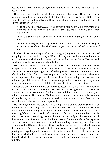destruction of Jerusalem, He charges them to this effect: "Pray ye that your flight be not in winter."

How many evils in this life which can be escaped by prayer! How many fearful temporal calamities can be mitigated, if not wholly relieved, by prayer! Notice how, amid the excesses and stupefying influences to which we are exposed in this world, Christ charges us to pray:

*"And take heed to yourselves, lest at any time your hearts be overcharged with surfeiting, and drunkenness, and cares of this life, and so that day come upon you unawares.*

*"For as a snare shall it come on all them that dwell on the face of the whole earth.*

*"Watch ye therefore and pray always, that ye may be accounted worthy to escape all these things that shall come to pass, and to stand before the Son of man."*

In view of the uncertainty of Christ's coming to judgment, and the uncertainty of our going out of this world, He says: "But of that day and that hour knoweth no man, no, not the angels which are in Heaven, neither the Son, but the Father. Take ye heed, watch and pray, for ye know not when the time is."

We have the words of Jesus as given in His last interview with His twelve disciples, found in the Gospel of John, chapters fourteen to seventeen, inclusive. These are true, solemn parting words. The disciples were to move out into the regions of toil, and peril, bereft of the personal presence of their Lord and Master. They were to be impressed that prayer would serve them in everything, and its use, and unlimited possibilities would in some measure supply their loss, and by it they would be able to command all the possibilities of Jesus Christ and God the Father.

It was the occasion of momentous interest to Jesus Christ. His work was to receive its climax and crown in His death and His resurrection. His glory and the success of His work and of its execution, under the mastery and direction of the Holy Spirit, was to be committed to His apostles. To them it was an hour of strange wonderment and of peculiar, mysterious sorrow, only too well assured of the fact that Jesus was to leave them. All else was dark and impalpable.

He was to give them His parting words and pray His parting prayer. Solemn, vital truths were to be the weight and counsel of that hour. He speaks to them of Heaven. Young men, strong though they were, yet they could not meet the duties of their preaching life and their apostolic life, without the fact, the thought, the hope and the relish of Heaven. These things were to be present constantly in all sweetness, in all their vigour, in all freshness, in all brightness. He spoke to them about their spiritual and conscious connection with Himself, an abiding indwelling, so close and continuous that His own life would flow into them, as the life of the vine flows into the branches. Their lives and their fruitfulness were dependent upon this. Then praying was urged upon them as one of the vital, essential forces. This was the one thing upon which all the Divine force depended, and this was the avenue and agency through which the Divine life and power were to be secured and continued in their ministry.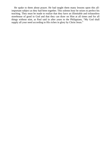He spake to them about prayer. He had taught them many lessons upon this allimportant subject as they had been together. This solemn hour he seizes to perfect his teaching. They must be made to realize that they have an illimitable and exhaustless storehouse of good in God and that they can draw on Him at all times and for all things without stint, as Paul said in after years to the Philippians, "My God shall supply all your need according to His riches in glory by Christ Jesus."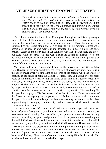#### **VII. JESUS CHRIST AN EXAMPLE OF PRAYER**

*Christ, when He saw that He must die, and that nowHis time was come, He wore His body out: He cared not, as it were, what became of Him: He wholly spent Himself in preaching all day, and in praying all night, preaching in the temple those terrible parables and praying in the garden such prayers, as the seventeenth of John, and "Thy will be done!" even to a bloody sweat.*—Thomas Goodwin.

The Bible record of the life of Jesus Christ gives but a glance of His busy doing, a small selection of His many words, and only a brief record of His great works. But even in this record we see Him as being much in prayer. Even though busy and exhausted by the severe strain and toils of His lift, "in the morning a great while before day, he rose up and went out and departed into a desert place, and there prayed." Alone in the desert and in the darkness with God! Prayer filled the life of our Lord while on earth. His life was a constant stream of incense sweet and perfumed by prayer. When we see how the life of Jesus was but one of prayer, then we must conclude that to be like Jesus is to pray like Jesus and is to live like Jesus. A serious life it is to pray as Jesus prayed.

We cannot follow any chronological order in the praying of Jesus Christ. What were His steps of advance and skill in the Divine art of praying we know not. He is in the act of prayer when we find Him at the fords of the Jordan, when the waters of baptism, at the hands of John the Baptist, are upon Him. So passing over the three years of His ministry, when closing the drama of His life in that terrible baptism of fear, pain, suffering, and shame, we find Him in the spirit, and also in the very act of praying. The baptism of the Cross, as well as the baptism of the Jordan, are sanctified by prayer. With the breath of prayer in His last sigh, He commits His spirit to God. In His first recorded utterances, as well as His first acts, we find Him teaching His disciples how to pray as His first lesson, and as their first duty. Under the shadow of the Cross, in the urgency and importance of His last interview with His chosen disciples, He is at the same all-important business, teaching the world's teachers how to pray, trying to make prayerful those lips and hearts out of which were to flow the Divine deposits of truth.

The great eras of His life were created and crowned with prayer. What were His habits of prayer during His stay at home and His toil as a carpenter in Nazareth, we have no means of knowing. God has veiled it, and guess and speculation are not only vain and misleading, but proud and prurient. It would be presumptuous searching into that which God has hidden, which would make us seek to be wise above that which was written, trying to lift up the veil with which God has covered His own revelation.

We find Christ in the presence of the famed, the prophet and the preacher. He has left His Nazareth home and His carpenter shop by God's call. He is now at a transitional point. He has moved out to His great work. John's baptism and the baptism of the Holy Ghost are prefatory and are to qualify Him for that work. This epochal and transitional period is marked by prayer.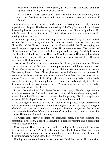*"Now when all the people were baptized, it came to pass that Jesus, being also baptized, and praying, the heaven was opened.*

*"And the Holy Ghost descended in a bodily shape like a dove upon him, and a voice came from heaven, which said, Thou art my beloved Son; in thee I am well pleased."*

It is a supreme hour in His history, different and in striking contrast with, but not in opposition to, the past. The descent and abiding of the Holy Spirit in all His fullness, the opening heavens, and the attesting voice which involved God's recognition of His only Son—all these are the result, if not the direct creation and response to His praying on that occasion.

"As He was praying," so we are to be praying. If we would pray as Christ prayed, we must be as Christ was, and must live as Christ lived. The Christ character, the Christ life, and the Christ spirit, must be ours if we would do the Christ praying, and would have our prayers answered as He had His prayers answered. The business of Christ even now in Heaven at His Father's right hand is to pray. Certainly if we are His, if we love Him, if we live for Him, and if we live close to Him, we will catch the contagion of His praying life, both on earth and in Heaven. We will learn His trade and carry on His business on earth.

Jesus Christ loved all men, He tasted death for all men, He intercedes for all men. Let us ask then, are we the imitators, the representatives, and the executors of Jesus Christ? Then must we in our prayers run parallel with His atonement in its extent. The atoning blood of Jesus Christ gives sanctity and efficiency to our prayers. As worldwide, as broad, and as human as the man Christ Jesus was, so must be our prayers. The intercessions of Christ's people must give currency and expedition to the work of Christ, carry the atoning blood to its benignant ends, and help to strike off the chains of sin from every ransomed soul. We must be as praying, as tearful, and as compassionate as was Christ.

Prayer affects all things. God blesses the person who prays. He who prays goes out on a long voyage for God and is enriched himself while enriching others, and is blessed himself while the world is blessed by his praying. To "live a quiet and peaceable life in all godliness and honesty" is the wealthiest wealth.

The praying of Christ was real. No man prayed as He prayed. Prayer pressed upon Him as a solemn, all-imperative, all-commanding duty, as well as a royal privilege in which all sweetness was condensed, alluring and absorbing. Prayer was the secret of His power, the law of His life, the inspiration of His toil and the source of His wealth, His joy, His communion and His strength.

To Christ Jesus prayer occupied no secondary place, but was exacting and paramount, a necessity, a life, the satisfying of a restless yearning and a preparation for heavy responsibilities.

Closeting with His Father in counsel and fellowship, with vigour and in deep joy, all this was His praying. Present trials, future glory, the history of His Church, and the struggles and perils of His disciples in all times and to the very end of time—all these things were born and shaped by His praying.

Nothing is more conspicuous in the life of our Lord than prayer. His campaigns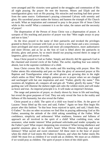were arranged and His victories were gained in the struggles and communion of His all night praying. By prayer He rent the heavens. Moses and Elijah and the transfiguration glory wait on His praying. His miracles and teaching had their power from the same source. Gethsemane's praying crimsoned Calvary with serenity and glory. His sacerdotal prayer makes the history and hastens the triumph of His Church on earth. What an inspiration and command to pray is the prayer life of Jesus Christ while in this world! What a comment it is on the value, the nature and the necessity of prayer!

The dispensation of the Person of Jesus Christ was a dispensation of prayer. A synopsis of His teaching and practice of prayer was that "Men ought aways to pray and not to faint."

As the Jews prayed in the name of their patriarchs and invoked the privileges granted to them by covenant with God; as we have a new Name and a new covenant, more privileged and more powerful and more all-comprehensive, more authoritative and more Divine; and as far as the Son of God is lifted above the patriarchs in divinity, glory and power, by so much should our praying exceed theirs in range of largeness, glory and power of results.

Jesus Christ prayed to God as Father. Simply and directly did He approach God in the charmed and revered circle of the Father. The awful, repelling fear was entirely absent, lost in the supreme confidence of a child.

Jesus Christ crowns His life, His works and His teaching with prayer. How His Father attests His relationship and puts on Him the glory of answered prayer at His Baptism and Transfiguration when all other glories are growing dim in the night which settles on Him! What almighty potencies are in prayer when we are charged and surcharged with but one inspiration and aim! "Father, glorify thy name." This sweetens all, brightens all, conquers all and gets all. "Father, glorify thy name." That guiding star will illumine the darkest night and calm the wildest storm and will make us brave and true. An imperial principle it is. It will make an imperial Christian.

The range and potencies of prayer, so clearly shown by Jesus in life and teaching, but reveal the great purposes of God. They not only reveal the Son in the reality and fullness of His humanity, but also reveal the Father.

Christ prayed as a child. The spirit of a child was found in Him. At the grave of Lazarus "Jesus lifted up His eyes and said, Father." Again we hear Him begin His prayer after this fashion: "In that hour Jesus rejoiced in spirit, and said, I thank thee, O Father." So also on other occasions we find Him in praying addressing God as His Father, assuming the attitude of the child asking something of the Father. What confidence, simplicity and artlessness! What readiness, freeness and fullness of approach are all involved in the spirit of a child! What confiding trust, what assurance, what tender interest! What profound solicitudes,and tender sympathy on the Father's part! What respect deepening into reverence! What loving obedience and grateful emotions glow in the child's heart! What Divine fellowship and royal intimacy! What sacred and sweet emotions! All these meet in the hour of prayer when the child of God meets His Father in Heaven, and when the Father meets His child! We must live as children if we would ask as children. We must act as children if we would pray as children. The spirit of prayer is born of the child spirit.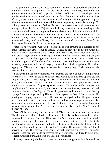The profound reverence in this. relation of paternity must forever exclude all lightness, frivolity and pertness, as well as all undue familiarity. Solemnity and gravity become the hour of prayer. It has been well said: "The worshipper who invokes God under the name of Father and realises the gracious and beneficent love of God, must at the same time remember and recognise God's glorious majesty, which is neither annulled nor impaired, but rather supremely intensified through His fatherly love. An appeal to God as Father, if not associated with reverence and homage before the Divine Majesty, would betray a want of understanding of the character of God." And, we might add, would show a lack of the attributes of a child.

Patriarchs and prophets knew something of the doctrine of the Fatherhood of God to God's family. They "saw it afar off, were persuaded of it, and embraced it," but understood it not, in all its fullness, "God having provided some better thing for us, that they without us should not be made perfect."

"Behold he prayeth!" was God's statement of wonderment and surprise to the timid Ananias in regard to Saul of Tarsus. "Behold he prayeth!" applied to Christ has in it far more of wonderment and mystery and surprise. He, the Maker of all worlds, the Lord of angels and of men, co-equal and co-eternal with the Everlasting God; the "brightness of the Father's glory and the express image of his person"; "fresh from his Father's glory and from his Father's throne."—"Behold he prayeth!" To find Him in lowly, dependent attitude of prayer, the suppliant of all suppliants, His richest legacy and His royal privilege to pray—this is the mystery of all mysteries, the wonder of all wonders.

Paul gives in brief and comprehensive statement the habit of our Lord in prayer in Hebrews 5:7—"Who, in the days of his flesh, when he had offered up prayers and supplications, with strong crying and tears, unto him that was able to save him from death, and was heard in that he feared." We have in this description of our Lord's praying the outgoing of great spiritual forces. He prayed with "prayers and supplications." It was no formal, tentative effort. He was intense, personal and real. He was a pleader for God's good. He was in great need and He must cry with "strong cryings," made stronger still by His tears. In an agony the Son of God wrestled. His praying was no playing a mere part. His soul was engaged, and all His powers were taxed to a strain. Let us pause and look at Him and learn how to pray in earnest. Let us learn how to win in an agony of prayer that which seems to be withholden from us. A beautiful word is that, "feared," which occurs only twice in the New Testament, the fear of God.

Jesus Christ was always a busy man with His work, but never too busy to pray. The divinest of business filled His heart and filled His hands, consumed His time, exhausted His nerves. But with Him even God's work must not crowd out God's praying. Saving people from sin or suffering must not, even with Christ, be substituted for praying, nor abate in the least the time or the intensity of these holiest of seasons. He filled the day with working for God; He employed the night with praying to God. The day-working made the night-praying a necessity. The nightpraying sanctified and made successful the day-working. Too busy to pray gives religion Christian burial, it is true, but kills it nevertheless.

In many cases only the bare fact, yet important and suggestive fact, is stated that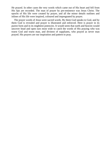He prayed. In other cases the very words which came out of His heart and fell from His lips are recorded. The man of prayer by pre-eminence was Jesus Christ. The epochs of His life were created by prayer, and all the minor details outlines and inlines of His life were inspired, coloured and impregnated by prayer.

The prayer words of Jesus were sacred words. By them God speaks to God, and by them God is revealed and prayer is illustrated and enforced. Here is prayer in its purest form and in its mightiest potencies. It would seem that earth and heaven would uncover head and open ears most wide to catch the words of His praying who was truest God and truest man, and divinest of suppliants, who prayed as never man prayed. His prayers are our inspiration and pattern to pray.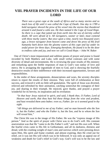## **VIII. PRAYER INCIDENTS IN THE LIFE OF OUR LORD**

*There was a great cape at the south of Africa and so many storms and so much loss of life until it was called the Cape of Death. One day in 1789 a bold navigator shoved the prow of his vessel into the storms that thundered around it and found a calm sea. He then named it the Cape of Good Hope. So there is a cape that jutted out from earth into the sea of eternity called death. All were afraid of it. All navigators, sooner or later, must contend with these murky waters. But once upon a time, nearly two thousand years ago, a brave navigator from heaven came and drove the prow of His frail humanity bark down into the gloomy waters of this cape and lay under its awful power for three days. Emerging therefrom, He found it to be the door to endless calm and joy, and now we call it Good Hope.*—John W. Baker

One of Christ's most impassioned and sublime pæans of prayer and praise is found recorded by both Matthew and Luke, with small verbal contrasts and with some diversity of detail and environments. He is reviewing the poor results of His ministry and remarking upon the feeble responses of man to God's vast outlay of love and mercy. He is arraigning the ingratitude of men to God, and is showing the fearfully destructive results of their indifference with their increased opportunities, favours and responsibilities.

In the midst of these arraignments, denunciations and woes, the seventy disciples return to report the results of their mission. They were full of exhilaration at their success, and evinced it with no little self-gratulation. The spirit of Jesus was diverted, relieved and refreshed by their animation, catching somewhat the contagion of their joy, and sharing in their triumph. He rejoiced, gave thanks, and prayed a prayer wonderful for its brevity, its inspiration and its revelation:

*"In that hour Jesus rejoiced in spirit, and said, I thank thee, O Father, Lord of Heaven and earth, that thou hast hid these things from the wise and prudent, and hast revealed them unto babes: even so, Father; for so it seemed good in thy sight.*

*"All things are delivered to me of my Father; and no man knoweth who the Son is, but the Father; and who the Father is, but the Son, and he to whom the Son will reveal him,"*

The Christ life was in the image of His Father. He was the "express image of His person." And so the spirit of prayer with Christ was to do God's will. His constant asseveration was that He "came to do His Father's will," and not His own will. When the fearful crisis came in His life in Gethsemane, and all its darkness, direness and dread, with the crushing weight of man's sins and sorrows which were pressing down upon Him, His spirit and frame crushed, and almost expiring, then He cried out for relief, yet it was not His will which was to be followed. It was only an appeal out of weakness and death for God's relief in God's way. God's will was to be the law and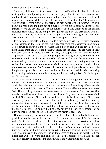the rule of His relief, if relief came.

So he who follows Christ in prayer must have God's will as his law, his rule and his inspiration. In all praying, it is the man who prays. The life and the character flow into the closet. There is a mutual action and reaction. The closet has much to do with making the character, while the character has much to do with making the closet. It is "the effectual fervent prayer of the righteous man which availeth much." It is with them who "call upon the Lord out of a pure heart" we are to consort. Christ was the greatest of prayers because He was the holiest of men. His character is the praying character. His spirit is the life and power of prayer. He is not the best prayer who has the greatest fluency, the most brilliant imagination, the richest gifts, and the most fiery ardour, but he who has imbibed most of the spirit of Christ.

It is he whose character is the nearest to a facsimile of Christ. His prayer referred to just named, in the form of thanksgiving, sets forth the characters upon whom God's power is bestowed and to whom God's person and will are revealed. "Hid these things from the wise and prudent," those, for instance, who are wise in their own eyes, skilled in letters, cultured, learned, philosophers, scribes, doctors, rabbis —"prudent"—one who can put things together, having insight, comprehension, expression. God's revelation of Himself and His will cannot be sought out and understood by reason, intelligence nor great learning. Great men and great minds are neither the channels nor depositories of God's revelation by virtue of their culture, braininess nor wisdom. God's system in redemption and providence is not to be thought out, open only to the learned and wise. The learned and the wise, following their learning and their wisdom, have always sadly and darkly missed God's thoughts and God's ways.

The condition of receiving God's revelation and of holding God's truth is one of the heart, not one of the head. The ability to receive and search out is like that of the child, the babe, the synonym of docility, innocence and simplicity. These are the conditions on which God reveals Himself to men. The world by wisdom cannot know God. The world by wisdom can never receive nor understand God, because God reveals Himself to men's hearts, not to their heads. Only hearts can ever know God, can feel God, can see God, and can read God in His Book of Books. God is not grasped by thought but by feeling. The world gets God by revelation, not by philosophy. It is not apprehension, the mental ability to grasp God, but plasticity, ability to be impressed, that men need. It is not by hard, strong, stern, great reasoning that the world gets God or gets hold of God, but by big, soft, pure hearts. Not so much do men need light to see God as they need hearts to feel God.

Human wisdom, great natural talents, and the culture of the schools, howsoever good they may be, can neither be the repositories nor conservors of God's revealed truth. The tree of knowledge has been the bane of faith, ever essaying to reduce revelation to a philosophy and to measure God by man. In its pride, it puts God out and puts men into God's truth. To become babes again, on our mother's bosom, quieted, weaned, without clamour or protest, is the only position in which to know God. A calmness on the surface, and in the depths of the soul, in which God can mirror His will, His Word and Himself—this is the attitude toward Him through which He can reveal Himself, and this attitude is the right attitude of prayer.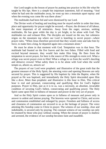Our Lord taught us the lesson of prayer by putting into practice in His life what He taught by His lips. Here is a simple but important statement, full of meaning; "And when he had sent the multitudes away, he went up into a mountain apart topray: and when the evening was come He was there alone."

The multitudes had been fed and were dismissed by our Lord.

The Divine work of healing and teaching must be stayed awhile in order that time, place and opportunity for prayer might be secured,—Prayer, the divinest of all labour, the most important of all ministries. Away from the eager, anxious, seeking multitudes, He has gone while the day is yet bright, to be alone with God. The multitudes tax and exhaust Him, The disciples are tossed on the sea, but calmness reigns on the mountain top where our Lord is kneeling in secret prayer—where prayer rules. "When Jesus therefore perceived that they would come and take him by force, to make him a king, he departed again into a mountain alone."

He must be alone in that moment with God. Temptation was in that hour. The multitude had feasted on the five loaves and the two fishes. Filled with food and excited beyond measure, they would fain make Him king. He flees from the temptation to secret prayer, for here is the source of His strength to resist evil. What a refuge was secret prayer even to Him! What a refuge to us from the world's dazzling and delusive crowns! What safety there is to be alone with God when the world tempts us, allures us, attracts us!

The prayers of our Lord were prophetic and illustrative of the great truth that the greatest measure of the Holy Spirit, the attesting voice and opening Heavens are only secured by prayer. This is suggested by His baptism by John the Baptist, when He prayed as He was baptised, and immediately the Holy Spirit descended upon Him like a dove. More than prophetic and illustrative is this hour to Him. This critical hour is real and personal, consecrating and qualifying Him for God's highest purposes. Prayer to Him, just as it is to us, was a necessity, an absolute, invariable condition of securing God's fullest, consecrating and qualifying power. The Holy Spirit came upon Him in fullness of measure and power in the very act of prayer.

And so the Holy Spirit comes upon us in fullness of measure and power only in answer to ardent and intense praying. The heavens were opened to Christ, and access and communion established and enlarged by prayer. Freedom and fullness of access and closeness of communion are secured to us as the heritage of prayer. The voice attesting His Sonship came to Christ in prayer. The witness of our sonship, clear and indubitable, is secured only by praying. The constant witness of our sonship can only be retained by those who pray without ceasing. When the stream of prayer is shallow and arrested, the evidence of our sonship becomes faint and inaudible.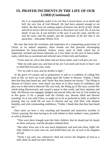## **IX. PRAYER INCIDENTS IN THE LIFE OF OUR LORD** *(Continued)*

*Sin is so unspeakably awful in its evil that it struck down, as to death and hell, the very Son of God Himself. He had been amazed enough at sin before. He had seen sin making angels of heaven into devils of hell. Death and all its terrors did not much move or disconcert our Lord. No. It was not death: It was sin. It was hell-fire in His soul. It was the coals, and the oil, and the rosin, and the juniper, and the turpentine of the fire that is not quenched.*—Alexander Whyte, D.D.

We note that from the revelation and inspiration of a transporting prayer-hour of Christ, as its natural sequence, there sounds out that gracious encouraging proclamation for heavy-hearted, restless, weary souls of earth, which has so impressed, arrested and drawn humanity as it has fallen on the ears of heavy-laden souls, which has so sweetened and relieved men of their toils and burdens:

*"Come unto me, all ye that labor and are heavy laden, and I will give you rest.*

*"Take my yoke upon you, and lean of me; for I am meek and lowly in heart: and ye shall find rest unto your souls.*

*"For my yoke is easy, and my burden is light."*

At the grave of Lazarus and as preparatory to and as a condition of calling him back to life, we have our Lord calling upon His Father in Heaven. "Father, I thank thee that thou hast heard me, and I know that thou hearest me always." The lifting to Heaven of Christ's eyes—how much was there in it! How much of confidence and plea was in that look to Heaven! His very look, the lifting up of His eyes, carried His whole being Heavenward, and caused a pause in that world, and drew attention and help. All Heaven was engaged, pledged and moved when the Son of God looked up at this grave. O for a people with the Christly eye, Heaven lifted and Heaven arresting! As it was with Christ, so ought we to be so perfected in faith, so skilled in praying, that we could lift our eyes to Heaven and say with Him, with deepest humility, and with commanding confidence, "Father, I thank thee that thou hast heard me."

Once more we have a very touching and beautiful and instructive incident in Christ's praying, this time having to do with infants in their mothers' arms, parabolic as well as historical:

*"Then were there brought unto him little children, that he should put his hands on them, and pray: and the disciples rebuked them.*

*"But when Jesus saw it he was much displeased, and said unto them, Suffer the little children to come unto me, and forbid them not; for of such is the kingdom of God.*

*"Verily I say unto you, whosoever shall not receive the kingdom of God as a little child, he shall not enter therein.*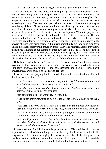#### *"And he took them up in his arms, put his hands upon them and blessed them."*

This was one of the few times when stupid ignorance and unspiritual views aroused His indignation and displeasure. Vital principles were involved. The foundations were being destroyed, and worldly views actuated the disciples. Their temper and their words in rebuking those who brought their infants to Christ were exceedingly wrong. The very principles which He came to illustrate and propagate were being violated. Christ received the little ones. The big ones must become little ones. The old ones must become young ones ere Christ will receive them. Prayer helps the little ones. The cradle must be invested with prayer. We are to pray for our little ones. The children are now to be brought to Jesus Christ by prayer, as He is in Heaven and not on earth. They are to be brought to Him early for His blessing, even when they are infants. His blessing descends upon these little ones in answer to the prayers of those who bring them. With untiring importunity are they to be brought to Christ in earnest, persevering prayer by their fathers and mothers. Before they know, themselves, anything about coming of their own accord, parents are to present them to God in prayer, seeking His blessing upon their offspring and at the same time asking for wisdom, for grace and Divine help to rear them that they may come to Christ when they arrive at the years of accountability of their own accord.

Holy hands and holy praying have much to do with guarding and training young lives and to form young characters for righteousness and Heaven. What benignity, simplicity, kindness, unworldliness and condescension and meekness, linked with prayerfulness, are in this act of this Divine Teacher!

It was as Jesus was praying that Peter made that wonderful confession of his faith that Jesus was the Son of God:

*"And it came to pass, as he was alone praying, his disciples were with him; and he asked them, saying, Whom say the people that I am?*

*"And they said, Some say that thou art John the Baptist; some, Elias; and others, Jeremias or one of the prophets.*

*"He saith unto them, But whom say ye that l am?*

*"And Simon Peter answered and said, Thou art the Christ, the Son of the living God.*

*"And Jesus answered and said unto him, Blessed art thou, Simon Bar-Jona; for flesh and blood hath not revealed it unto thee, but my Father which is in heaven.*

*"And I say also unto thee, that thou art Peter, and upon this rock I will build my church: and the gates of hell shall not prevail against it.*

*"And I will give unto thee the keys of the kingdom of Heaven; and whatsoever thou shalt bind on earth shall be bound in heaven; and whatsoever thou shalt loose on earth shall be loosed in heaven."*

It was after our Lord had made large promises to His disciples that He had appointed unto each of them a kingdom, and that they should sit at His table in His kingdom and sit on thrones judging the twelve tribes of Israel, that He gave those words of warning to Simon Peter, telling him that He had prayed for Peter. "And the Lord said, Simon, Simon, behold Satan hath desired to have you, so that he may sift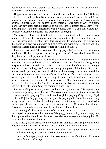you as wheat. But I have prayed for thee that thy faith fail not. And when thou art converted, strengthen thy brethren."

Happy Peter, to have such an one as the Son of God to pray for him! Unhappy Peter, to be so in the toils of Satan as to demand so much of Christ's solicitude! How intense are the demands upon our prayers for some specific cases! Prayer must be personal in order to be to the fullest extent beneficial. Peter drew on Christ's praying more than any other disciple because of his exposure to greater perils, Pray for the most impulsive, the most imperilled ones by name. Our love and their danger give frequency, inspiration, intensity and personality to praying.

We have seen how Christ had to flee from the multitude after the magnificent miracle of feeding the five thousand as they sought to make Him king. Then prayer was His escape and His refuge from this strong worldly temptation. He returns from that night of prayer with strength and calmness, and with a power to perform that other remarkable miracle of great wonder of walking on the sea.

Even the loaves and fishes were sanctified by prayer before He served them to the multitude. "He looked up to Heaven and gave thanks." Prayer should sanctify our daily bread and multiply our seed sown.

He looked up to heaven and heaved a sigh when He touched the tongue of the deaf man who had an impediment in his speech. Much akin was this sigh to that groaning in spirit which He evinced at the grave of Lazarus. "Jesus therefore again groaning in himself, cometh to the grave." Here was the sigh and groan of the Son of God over a human wreck, groaning that sin and hell had such a mastery over man; troubled that such a desolation and ruin were man's sad inheritance. This is a lesson to be ever learned by us. Here is a fact ever to be kept in mind and heart and which must ever, in some measure, weigh upon the inner spirits of God's children. We who have received the first fruit of the Spirit groan within ourselves at sin's waste, and death, and are filled with longings for the coming of a better day.

Present in all great praying, making and marking it, is the man. It is impossible to separate the praying from the man. The constituent elements of the man are the constituents of his praying. The man flows through his praying. Only the fiery Elijah could do Elijah's fiery praying. We can get holy praying only from a holy man. Holy being can never exist without holy doing. Being is first, doing comes afterward. What we are gives being, force and inspiration to what we do. Character, that which is graven deep, ineradicably, imperishably within us, colours all we do.

The praying of Christ, then, is not to be separated from the character of Christ. If He prayed more unweariedly, more self-denyingly, more holily, more simply and directly than other men, it was because these elements entered more largely into His character than into that of others.

The transfiguration marks another epoch in His life, and that was pre-eminently a prayer epoch. Luke gives an account with the animus and aim of the event:

*"And it came to pass about an eight days after these sayings, he took Peter and John and James, and went up into a mountain to pray.*

*"And as he prayed, the fashion of his countenance was altered, and his raiment was white and glistering.*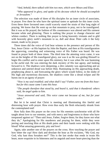*"And, behold, there talked with him two men, which were Moses and Elias:*

*"Who appeared in glory, and spake of his decease which he should accomplish at Jerusalem."*

The selection was made of three of His disciples for an inner circle of associates, in prayer. Few there be who have the spiritual tastes or aptitude for this inner circle. Even these three favoured ones could scarcely stand the strain of that long night of praying. We know that He went up on that mountain to pray, not to be transfigured. But it was as He prayed, the fashion of His countenance was altered and His raiment became white and glistering. There is nothing like prayer to change character and whiten conduct. There is nothing like prayer to bring heavenly visitants and to gild with heavenly glory earth's mountain to us, dull and drear. Peter calls it the holy mount, made so by prayer.

Three times did the voice of God bear witness to the presence and person of His Son, Jesus Christ—at His baptism by John the Baptist, and then at His transfiguration the approving, consoling and witnessing voice of His Father was heard. He was found in prayer both of these times. The third time the attesting voice came, it was not on the heights of His transfigured glory, nor was it as He was girding Himself to begin His conflict and to enter upon His ministry, but it was when He was hastening to the awful end. He was entering the dark mystery of His last agony, and looking forward to it. The shadows were deepening, a dire calamity was approaching and an unknown and untried dread was before Him. Ruminating on His approaching death, prophesying about it, and forecasting the glory which would follow, in the midst of His high and mysterious discourse, the shadows come like a dread eclipse and He bursts out in an agony of prayer:

*"Now is my soul troubled; and what shall I say? Father, save me from this hour: but for this cause came I unto this hour.*

*"The people therefore that stood by, and heard it, said that it thundered: others said, An angel spoke to him.*

*"Jesus answered and said, This voice came not because of me, but for your sakes."*

But let it be noted that Christ is meeting and illuminating this fateful and distressing hour with prayer. How even thus early the flesh reluctantly shrank from the contemplated end!

How fully does His prayer on the cross for His enemies synchronise with all He taught about love to our enemies, and with mercy and forgiveness to those who have trespassed against us! "Then said Jesus, Father, forgive them; for they know not what they do," Apologising for His murderers and praying for them, while they were jeering and mocking Him at His death pains and their hands were reeking with His blood! What amazing generosity, pity and love!

Again, take another one of the prayers on the cross. How touching the prayer and how bitter the cup! How dark and desolate the hour as He exclaims, "My God, my God, why hast thou forsaken me?" This is the last stroke that rends in twain His heart, more exquisite in its bitterness and its anguish and more heart-piercing than the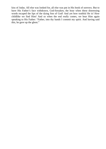kiss of Judas. All else was looked for, all else was put in His book of sorrows. But to have His Father's face withdrawn, God-forsaken, the hour when these distressing words escaped the lips of the dying Son of God! And yet how truthful He is! How childlike we find Him! And so when the end really comes, we hear Him again speaking to His Father: "Father, into thy hands I commit my spirit. And having said this, he gave up the ghost."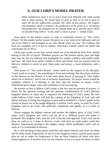#### **X. OUR LORD'S MODEL PRAYER**

*What satisfaction must it be to learn from God Himself with what words and in what manner, He would have us pray to Him so as not to pray in vain! We do not sufficiently consider the value of this prayer; the respect and attention which it requires; the preference to be given to it; its fulness and perfection; the frequent use we should make of it; and the spirit which we should bring with it. "Lord, teach us how to pray."*—Adam Clark

Jesus gives us the pattern prayer in what is commonly known as "The Lord's Prayer." In this model, perfect prayer He gives us a law form to be followed, and yet one to be filled in and enlarged as we may decide when we pray. The outlines and form are complete, yet it is but an outline, with many a blank, which our needs and convictions are to fill in.

Christ puts words on our lips, words which are to be uttered by holy lives. Words belong to the life of prayer. Wordless prayers are like human spirits; pure and high they may be, but too ethereal and impalpable for earthly conflicts and earthly needs and uses. We must have spirits clothed in flesh and blood, and our prayers must be likewise clothed in words to give them point and power, a local habitation, and a name.

This lesson of "The Lord's Prayer," drawn forth by the request of the disciples, "Lord, teach us to pray," has something in form and verbiage like the prayer sections of the Sermon on the Mount. It is the same great lesson of praying to "Our Father which art in Heaven," and is one of insistent importunity. No prayer lesson would be complete without it. It belongs to the first and last lessons in prayer. God's Fatherhood gives shape, value and confidence to all our praying.

He teaches us that to hallow God's name is the first and the greatest of prayers. A desire for the glorious coming and the glorious establishment of God's glorious kingdom follows in value and in sequence the hallowing of God's name. He who really hallows God's name will hail the coming of the Kingdom of God, and will labour and pray to bring that kingdom to pass and to establish it. Christ's pupils in the school of prayer are to be taught diligently to hallow God's name, to work for God's kingdom, and to do God's will perfectly, completely and gladly, as it is done in Heaven.

Prayer engages the highest interest and secures the highest glory of God. God's name, God's kingdom and God's will are all in it. Without prayer His name is profaned, His kingdom fails, and His will is decried and opposed. God's will can be done on earth as it is done in Heaven. God's will done on earth makes earth like Heaven. Importunate praying is the mighty energy which establishes God's will on earth as it is established in Heaven.

He is still teaching us that prayer sanctifies and makes hopeful and sweet our daily toil for daily bread. Forgiveness of sins is to be sought by prayer, and the great prayer plea we are to make for forgiveness is that we have forgiven all those who have sinned against us. It involves love for our enemies so far as to pray for them, to bless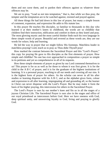them and not curse them, and to pardon their offences against us whatever those offences may be.

We are to pray, "Lead us not into temptation," that is, that while we thus pray, the tempter and the temptation are to be watched against, resisted and prayed against.

All these things He had laid down in this law of prayer, but many a simple lesson of comment, expansion, and expression He adds to His statute law.

In this prayer He teaches His disciples, so familiar to thousands in this day who learned it at their mother's knees in childhood, the words are so childlike that children find their instruction, edification and comfort in them as they kneel and pray. The most glowing mystic and the most careful thinker finds each his own language in these simple words of prayer. Beautiful and revered as these words are, they are our words for solace, help and learning.

He led the way in prayer that we might follow His footsteps. Matchless leader in matchless praying! Lord, teach us to pray as Thou didst Thyself pray!

How marked the contrast between the Sacerdotal Prayer and this "Lord's Prayer," this copy for praying He gave to His disciples as the first elements of prayer. How simple and childlike! No one has ever approached in composition a prayer so simple in its petitions and yet so comprehensive in all of its requests.

How these simple elements of prayer as given by our Lord commend themselves to us! This prayer is for us as well as for those to whom it was first given. It is for the child in the A B C of prayer, and it is for the graduate of the highest institutions of learning. It is a personal prayer, reaching to all our needs and covering all our sins. It is the highest form of prayer for others. As the scholar can never in all his after studies or learning dispense with his A B C, and as the alphabet gives form, colour and expression to all after learning, impregnating all and grounding all, so the learner in Christ can never dispense with the Lord's Prayer. But he may make it form the basis of his higher praying, this intercession for others in the Sacerdotal Prayer.

The Lord's Prayer is ours by our mother's knee and fits us in all the stages of a joyous Christian Life. The Sacerdotal Prayer is ours also in the stages and office of our royal priesthood as intercessors before God. Here we have oneness with God, deep spiritual unity, and unswerving loyalty to God, living and praying to glorify God.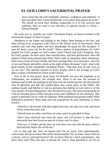#### **XI. OUR LORD'S SACERDOTAL PRAYER**

*Jesus closes His life with inimitable calmness, confidence and sublimity. "I have glorified Thee; I have finished the work which Thou gavest me to do." The annals of earth have nothing comparable to it in real security and sublimity. May we come to our end thus, in supreme loyalty to Christ.*— Edward Bounds

We come now to consider our Lord's Sacerdotal Prayer, as found recorded in the seventeenth chapter of John's Gospel.

Obedience to the Father and abiding in the Father, these belong to the Son, and these belong to us, as partners with Christ in His Divine work of intercession. How tenderly and with what pathos and how absorbingly He prays for His disciples! "I pray for them; I pray not for the world." What a pattern of prayerfulness for God's people! For God's people are God's cause, God's Church and God's Kingdom. Pray for God's people, for their unity, their sanctification, and their glorification. How the subject of their unity pressed upon Him! These walls of separation, these alienations, these riven circles of God's family, and these warring tribes of ecclesiastics—how He is torn and bleeds and suffers afresh at the sight of these divisions! Unity—that is the great burden of that remarkable Sacerdotal Prayer. "That they may be one, even as we are one." The spiritual oneness of God's people—that is the heritage of God's glory to them, transmitted by Christ to His Church.

First of all, in this prayer, Jesus prays for Himself, not now the suppliant as in Gethsemane, not weakness, but strength now. There is not now the pressure of darkness and of hell, but passing for the time over the fearful interim, He asks that He may be glorified, and that His exalted glory may secure glory to His Father. His sublime loyalty and fidelity to God are declared, that fidelity to God which is of the very essence of interceding prayer. Our devoted lives pray. Our unswerving loyalty to God are eloquent pleas to Him and give access and confidence in our advocacy. This prayer is gemmed, but its walls are adamant. What profound and granite truths! What fathomless mysteries! What deep and rich experiences do such statements as these involve:

*"And this is life eternal, that they might know thee, the only true God, and Jesus Christ whom thou hast sent.*

*"And all mine are thine, and thine are mine, and I am glorified in them.*

*"And I have declared unto them thy name, and will declare it, that the love wherewith thou hast loved me may be in them, and I in them.*

*"And now, O Father, glorify thou me with thine own self with the glory which I had with thee before the world was."*

Let us stop and ask, have we eternal life? Do we know God experimentally, consciously, and do we know Him really and personally? Do we know Jesus Christ as a person, and as a personal Saviour? Do we know Him by a heart acquaintance, and know Him well? This, this only, is eternal life. And is Jesus glorified in us? Let us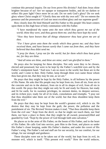continue this personal inquiry. Do our lives prove His divinity? And does Jesus shine brighter because of us? Are we opaque or transparent bodies, and do we darken or reflect His pure light? Once more let us ask: Do we seek God's glory? Do we seek glory where Christ sought it? "Glorify thou me with thy own self." Do we esteem the presence and the possession of God our most excellent glory and our supreme good?

How closely does He bind Himself and His Father to His people! His heart centers upon them in this high hour of holy communion with His Father.

*"I have manifested thy name unto the men which thou gavest me out of the world; thine they were, and thou gavest them me; and they have kept thy word.*

*"Now they have known that all things whatsoever thou hast given me are of thee.*

*"For I have given unto them the words which thou gavest me; and they have received them, and have known surely that I came out from thee, and they have believed that thou didst send me.*

*"I pray for them; I pray not for the world; but for them which thou hast given me; for they are thine.*

*"And all mine are thine, and thine are mine; and I am glorified in them."*

He prays also for keeping for these disciples. Not only were they to be chosen, elected and possessed, but were to be kept by the Father's watchful eyes and by the Father's omnipotent hand. "And now I am no more in the world, but these are in the world, and I come to thee. Holy Father, keep through thine own name those whom thou hast given me, that they may be one, as we are."

He prays that they might be kept by the Holy Father, in all holiness by the power of His Name. He asks that His people may be kept from sin, from all sin, from sin in the concrete and sin in the abstract, from sin in all its shapes of evil, from all sin in this world. He prays that they might not only be fit and ready for Heaven, but ready and fit for earth, for its sweetest privileges, its sternest duties, its deepest sorrows, and its richest joys; ready for all of its trials, consolations and triumphs. "I pray not that thou shouldest take them out of the world, but that thou shouldest keep them from the evil."

He prays that they may be kept from the world's greatest evil, which is sin. He desires that they may be kept from the guilt, the power, the pollution and the punishment of sin. The Revised Version makes it read, "That thou shouldst keep them from the evil one." Kept from the devil, so that he might not touch them, nor find them, nor have a place in them; that they might be all owned, possessed,filled and guarded by God. "Kept by the power of God through faith unto salvation."

He places us in the arms of His Father, on the boom of His Father, and in the heart of His Father. He calls God into service, puts Him to the front, and places us under His Father's closer keeping, under His Father's shadow, and under the covert of His Father's wing. The Father's rod and staff are for our security, for our comfort, for our refuge, for our strength and guidance.

These disciples were not to be taken out of the world, but kept from its evil, its monster evil, which is itself. "This present evil world." How the world seduces,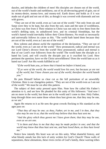dazzles, and deludes the children of men! His disciples are chosen out of the world, out of the world's bustle and earthliness, out of its all-devouring greed of gain, out of its money-desire, money-love, and money-toil. Earth draws and holds as if it was made out of gold and not out of dirt; as though it was covered with diamonds and not with graves.

"They are not of the world, even as I am not of the world." Not only from sin and Satan were they to be kept, but also from the soil, stain and the taint of worldliness, as Christ was free from it Their relation to Christ was not only to free them from the world's defiling taint, its unhallowed love, and its criminal friendships, but the world's hatred would inevitably follow their Christ-likeness. No result so necessarily and universally follows its cause as this. "The world hath hated them because they are not of the world, even as I am not of the world."

How solemn and almost awful the repetition of the declaration, "They are not of the world, even as I am not of the world." How pronounced, radical and eternal was our Lord Christ's divorce from the world! How pronounced, radical and eternal is that of our Lord's true followers from the world! The world hates the disciple as it hated his Lord, and will crucify the disciple just as it crucified his Lord. How pertinent the question, have we the Christ unworldliness? Does the world hate us as it hated our Lord? Are His words fulfilled in us?

*"If the world hate you, ye know that it hated me before it hated you.*

*"If ye were of the world, the world would love his own; but because ye are not of the world, but I have chosen you out of the world, therefore the world hateth you."*

He puts Himself before us clear cut as the full portraiture of an unworldly Christian. Here is our changeless pattern. "They are not of the world even as I am not of the world." We must be cut after this pattern.

The subject of their unity pressed upon Him. Note how He called His Father's attention to it, and see how He pleaded for this unity of His followers: "And now I am no more in the world, but these are in the world and I come to thee. Holy Father, keep through thine own name those whom thou hast given me, that they may be one, as we are."

Again He returns to it as He sees the great crowds flocking to His standard as the ages pass on:

*"That they all may be one; as thou, Father, art in me, and I in thee, that they also may be one in us; that the world may believe that thou hast sent me.*

*"And the glory which thou gavest me I have given them; that they may be one, even as we are one.*

*"I in them and thou in me that they may be made perfect in one; and that the world may know that thou hast sent me, and hast loved them, as thou hast loved me."*

Notice how intently His heart was set on this unity. What shameful history, and what bloody annals has this lack of unity written for God's Church! These walls of separations, these alienations, these riven circles of God's family, these warring tribes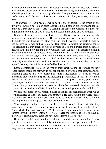of men, and these internecine fratricidal wars! He looks ahead and sees how Christ is torn, how He bleeds and suffers afresh in all these sad things of the future. The unity of God's people was to be the heritage of God's glory promised to them. Division and strife are the devil's bequest to the Church, a heritage of failure, weakness, shame and woe.

The oneness of God's people was to be the one credential to the world of the divinity of Christ's mission on earth. Let us ask in all candor, are we praying for this unity as Christ prayed for it? Are we seeking the peace, the welfare, the glory, the might and the divinity of God's cause as it is found in the unity of God's people?

Going back again, note, please, how He puts Himself as the exponent and the pattern of this unworldliness which He prays may possess His disciples. He sends them into the world just as His Father sent Him into the world. He expects them to be and do, just as He was and as He did for His Father. He sought the sanctification of His disciples that they might be wholly devoted to God and purified from all sin. He desired in them a holy life and a holy work for God. He devoted Himself to death in order that they might be devoted in life to God. For a true sanctification He prayed, a real, whole, and thorough sanctification, embracing soul, body and mind, for time and eternity. With Him the word itself had much to do with their true sanctification. "Sanctify them through thy truth; thy word is truth. And for their sakes I sanctify myself, that they also might be sanctified by the truth."

Entire devotedness was to be the type of their sanctification. His prayer for their sanctification marks the pathway to full sanctification. Prayer is that pathway. All the ascending steps to that lofty position of entire sanctification are steps of prayer, increasing prayerfulness in spirit and increasing prayerfulness in fact. "Pray without ceasing" is the imperative prelude to "the very God of peace sanctify you wholly." And prayer is but the continued interlude and doxology of this rich grace in the heart: "I pray God your whole spirit and soul and body be preserved blameless unto the coming of our Lord Jesus Christ. Faithful is he that calleth you, who also will do it."

We can only meet our full responsibilities and fulfill our high mission when we go forth sanctified as Christ our Lord was sanctified. He sends us into the world just as His Father sent Him into the world. He expects us to be as He was, to do as He did, and to glorify the Father just as He glorified the Father.

What longings He had to have us with Him in Heaven: "Father, I will that they also whom thou hast given me, be with me where I am; that they may behold my glory, which thou hast given me." What response do our truant hearts make to this earnest, loving, Christly longing? Are we as eager for Heaven as He is to have us there? How calm, how majestic and how authoritative is His "I will"!

He closes His life with inimitable calmness, confidence and sublimity. "I have glorified thee on the earth; I have finished the work which thou gavest me to do."

The annals of earth have nothing comparable to it in real serenity and sublimity. May we come to our end thus in supreme loyalty to Christ.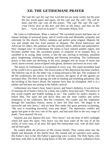#### **XII. THE GETHSEMANE PRAYER**

*The cup! the cup! the cup! Our Lord did not use many words: but He used His few words again and again, till this cup! and Thy will!—Thy will be done, and this cup—was all His prayer. "The cup! The cup! The cup!" cried Christ: first on His feet: and then on His knees: and then on His face… . "Lord, teach us to pray!"*—Alexander Whyte, D.D.

We come to Gethsamane. What a contrast! The sacerdotal prayer had been one of intense feelings of universal grasp, and of world-wide and illimitable sympathy and solicitude for His church. Perfect calmness and perfect poise reigned. Majestic He was and simple and free from passion or disquiet. The Royal Intercessor and Advocate for others, His petitions are like princely edicts, judicial and authoritative. How changed now! In Gethsemane He seems to have entered another region, and becomes another man. His sacerdotal prayer, so exquisite in its tranquil flow, so unruffled in its strong, deep current, is like the sun, moving in meridian, unsullied glory, brightening, vitalising, ennobling and blessing everything. The Gethsemane prayer is that same sun declining in the west, plunged into an ocean of storm and cloud, storm-covered, storm-eclipsed with gloom, darkness and terror on every side.

The prayer in Gethsemane is exceptional in every way. The super-incumbent load of the world's sin is upon Him. The lowest point of His depression has been reached. The bitterest cup of all, His bitter cup, is being pressed to His lips. The weakness of all His weaknesses, the sorrow of all His sorrows, the agony of all His agonies are nowupon Him. The flesh is giving out with its fainting and trembling pulsations, like the trickling of His heart's blood. His enemies have thus far triumphed. Hell is in a jubilee and bad men are joining in the hellish carnival.

Gethsemane was Satan's hour, Satan's power, and Satan's darkness. It was the hour of massing all of Satan's forces for a final, last conflict Jesus had said, "The prince of this world cometh and findeth nothing in me." The conflict for earth's mastery is before Him. The spirit led and drove Him into the stern conflict and severe temptation of the wilderness. But His Comforter, His Leader and His inspiration through His matchless history, seems to have left Him now. "He began to be sorrowful and very heavy," and we hear Him under this great pressure exclaiming, "My soul is exceeding sorrowful, even unto death." The depression, conflict and agony had gone to the very core of His spirit, and had sunk Him to the very verge of death. "Sore amazed" He was.

Surprise and awe depress His soul. "Very heavy" was the hour of hell's midnight which fell upon His spirit. Very heavy was this hour when all the sins of all the world, of every man, of all men, fell upon His immaculate soul, with all their stain and all their guilt.

He cannot abide the presence of His chosen friends. They cannot enter into the depths and demands of this fearful hour. His trusted and set watchers were asleep. His Father's face is hid. His Father's approving voice is silent. The Holy Spirit, who had been with Him in all the trying hours of His life, seems to have withdrawn from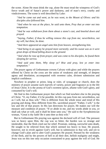the scene. Alone He must drink the cup, alone He must tread the winepress of God's fierce wrath and of Satan's power and darkness, and of man's envy, cruelty and vindictiveness. The scene is well described by Luke:

*"And he came out and went, as he was wont, to the Mount of Olives: and his disciples also followed him.*

*"And when he was at the place, he said unto them, Pray that ye enter not into temptation.*

*"And he was withdrawn from them about a stone's cast, and kneeled down and prayed.*

*"Saying, Father, if thou be willing remove this cup from me; nevertheless, not my will, but thine, be done.*

*"And there appeared an angel unto him from heaven, strengthening him.*

*"And being in an agony he prayed more earnestly; and his sweat was as it were great drops of blood falling down to the ground.*

*"And when he rose up from prayer, and was come to his disciples, he found them sleeping for sorrow.*

*"And said unto them, Why sleep ye? Rise and pray, lest ye enter into temptation."*

The prayer agony of Gethsemane crowns Calvary with glory and while the prayers offered by Christ on the cross are the union of weakness and strength, of deepest agony and desolation, accompanied with sweetest calm, divinest submission and implicit confidence.

Nowhere in prophet or priest, king or ruler, of synagogue or church, does the ministry of prayer assume such marvels of variety, power and fragrance as in the life of Jesus Christ. It is the aroma of God's sweetest spices, aflame with God's glory, and consumed by God's will.

We find in this Gethsemane prayer that which we find nowhere else in the praying of Christ. "O, my Father, if it be possible, let this cup pass from me; nevertheless, not as I will, but as thou wilt." This is different from the whole tenor and trend of His praying and doing. How different from His. sacerdotal prayer! "Father, I will," is the law and life of that prayer. In His last directions for prayer, He makes our will the measure and condition of prayer. "If ye abide in me, and my words abide in you, ye shall ask what ye will, and it shall be done unto you," He said to the Syrophoenician woman, "Great is thy faith! Be it unto thee as thou wilt."

But in Gethsemane His praying was against the declared will of God. The pressure was so heavy upon Him, the cup was so bitter, the burden was so strange and intolerable, that the flesh cried out for relief. Prostrate, sinking, sorrowful unto death, He sought to be relieved from that which seemed too heavy to bear. He prayed, however, not in revolt against God's will, but in submission to that will, and yet to change God's plan and to alter God's purposes He prayed. Pressed by the weakness of the flesh, and by the powers of hell in all their dire, hellish malignity and might, Jesus was on this one only occasion constrained to pray against the will of God. He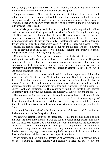did it, though, with great wariness and pious caution. He did it with declared and inviolable submission to God's will. But this was exceptional.

Simple submission to God's will is not the highest attitude of the soul to God. Submission may be seeming, induced by conditions, nothing but all enforced surrender, not cheerful but grudging, only a temporary expedient, a fitful resolve. When the occasion or calamity which called it forth is removed, the will returns to its old ways and to its old self.

Jesus Christ prayed always with this one exception in conformity with the will of God. He was one with God's plan, and one with God's will. To pray in conformity with God's will was the life and law of Christ. The same was law of His praying. Conformity, to live one with God, is a far higher and diviner life than to live simply in submission to God. To pray in conformity—together with God—is a far higher and diviner way to pray than mere submission. At its best state, submission is nonrebellion, an acquiescence, which is good, but not the highest. The most powerful form of praying is positive, aggressive, mightily outgoing and creative. It molds things, changes things and brings things to pass.

Conformity means to "stand perfect and complete in all the will of God." It means to delight to do God's will, to run with eagerness and ardour to carry out His plans. Conformity to God's will involves submission, patient, loving, sweet submission. But submission in itself falls short of and does not include conformity. We may be submissive but not conformed. We may accept results against which we have warred, and even be resigned to them.

Conformity means to be one with God, both in result and in processes. Submission may be one with God in the end. Conformity is one with God in the beginning, and the end. Jesus had conformity, absolute and perfect, to God's will, and by that He prayed. This was the single point where there was a drawing back from God's processes, extorted by insupportable pain, fear and weariness. His submission was abject, loyal and confiding, as His conformity had been constant and perfect. Conformity is the only true submission, the most loyal, the sweetest and the fullest.

Gethsemane has its lessons of humble supplications as Jesus knelt alone in the garden. Of burdened prostration, as He fell on His face, of intense agony, of distressing dread, of hesitancy and shrinking back, of crying out for relief—yet amid it all of cordial submission to God, accompanied with a singleness of purpose for His glory.

Satan will have for each of us his hour and power of darkness and for each of us the bitter cup and the fearful spirit of gloom.

We can pray against God's will, as Moses did, to enter the Promised Land; as Paul did about the thorn in the flesh; as David did for his doomed child; as Hezekiah did to live. We must pray against God's will three times when the stroke is the heaviest, the sorrow is the keenest, and the grief is the deepest. We may lie prostrate all night, as David did, through the hours of darkness. We may pray for hours, as Jesus did, and in the darkness of many nights, not measuring the hours by the clock, nor the nights by the calendar. It must all be, however, the prayer of submission.

When sorrow and the night and desolation of Gethsemane fall in heaviest gloom on us, we ought to submit patiently and tearfully, if need be, but sweetly and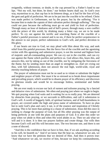resignedly, without tremour, or doubt, to the cup pressed by a Father's hand to our lips. "Not my will, but thine, be done," our broken hearts shall say. In God's own way, mysterious to us, that cup has in its bitterest dregs, as it had for the Son of God, the gem and gold of perfection. We are to be put into the crucible to be refined. Christ was made perfect in Gethsemane, not by the prayer, but by the suffering. "For it became him to make the captain of their salvation perfect through suffering." The cup could not pass because the suffering must go on and yield its fruit of perfection. Through many an hour of darkness and of hell's power, through many a sore conflict with the prince of this world, by drinking many a bitter cup, we are to be made perfect. To cry out against the terrific and searching flame of the crucible of a Father's painful processes is natural and is no sin, if there be perfect acquiescence in the answer to our prayer, perfect submission to God's will, and perfect devotion to His glory.

If our hearts are true to God, we may plead with Him about His way, and seek relief from His painful processes. But the fierce fire of the crucible and the agonising victim with His agonising and submissive prayer, is not the normal and highest form of majestic and all-commanding prayer. We can cry out in the crucible, and can cry out against the flame which purifies and perfects us. God allows this, hears this, and answers this, not by taking us out of the crucible, nor by mitigating the fierceness of the flame, but by sending more than an angel to strengthen us. And yet crying out thus, with full submission, does not answer the real high, world-wide, royal and eternity-reaching behests of prayer.

The prayer of submission must not be so used as to vitiate or substitute the higher and mightier prayer of faith. Nor must it be so stressed as to break down importunate and prevailing prayer, which would be to disarm prayer of its efficiency and discrown its glorious results and would be to encourage listless, sentimental and feeble praying.

We are ever ready to excuse our lack of earnest and toilsome praying, by a fancied and delusive view of submission. We often end praying just where we ought to begin. We quit praying when God waits and is waiting for us to really pray. We are deterred by obstacles from praying, or we succumb to difficulties, and call it submission to God's will. A world of beggarly faith, of spiritual laziness, and of half-heartedness in prayer, are covered under the high and pious name of submission. To have no plan but to seek God's plan and carry it out, is of the essence and inspiration of Christly praying. This is far more than putting in a clause of submission. Jesus did this once in seeking to change the purpose of God, but all His other praying was the output of being perfectly at one with the plans and purposes of God. It is after this order we pray when we abide in Him and when His word abides in us. Then we ask what we will and it is done. It is then our prayers fashion and create things. Our wills then become God's will and His will becomes ours. The two become one, and there is not a note of discord.

"And this is the confidence that we have in him, that, if we ask anything according to his will, he heareth us." And if we know that He hear us, whatsoever we ask, we know that we have the petitions that we desired of Him. And then it proves true: "And whatsoever we ask, we receive of him, because we keep his commandments,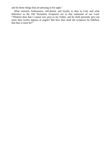and do those things that are pleasing in his sight."

What restraint, forbearance, self-denial, and loyalty to duty to God, and what deference to the Old Testament Scriptures are in that statement of our Lord: "Thinkest thou that I cannot now pray to my Father, and he shall presently give me more than twelve legions of angels? But how then shall the scriptures be fulfilled, that thus it must be?"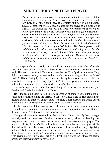## **XIII. THE HOLY SPIRIT AND PRAYER**

*During the great Welsh Revival a minister was said to be very successful in winning souls by one sermon that he preached—hundreds were converted. Far away in a valley news reached a brother minister of the marvelous success of this sermon. He desired to find out the secret of the man's great success.—He walked the long way, and came to the minister's poor cottage, and the first thing he said was: "Brother, where did you get that sermon?" He was taken into a poorly furnished room and pointed to a spot where the carpet was worn threadbare, near a window that looked out upon the everlasting hills and solemn mountains and said, "Brother, there is where I got that sermon. My heart was heavy for men. One night I knelt there—and cried for power as I never preached before. The hours passed until midnight struck, and the stars looked down on a sleeping world, but the answer came not. I prayed on until I saw a faint streak of grey shoot up, then it war silver—silver became purple and gold. Then the sermon came and the power came and men fell under the influence of the Holy Spirit."*— G. H. Morgan

The Gospel without the Holy Spirit would be vain and nugatory. The gift of the Holy Spirit was vital to the work of Jesus Christ in the atonement. As Jesus did not begin His work on earth till He was anointed by the Holy Spirit, so the same Holy Spirit is necessary to carry forward and make effective the atoning work of the Son of God. As His anointing by the Holy Ghost at His baptism was an era in His life, so also is the coming of the Holy Spirit at Pentecost a great era in the work of redemption in making effective the work of Christ's Church.

The Holy Spirit is not only the bright lamp of the Christian Dispensation, its Teacher and Guide, but is the Divine Helper.

He is the enabling agent in God's new dispensation of doing. As the pilot takes his stand at the wheel to guide the vessel, so the Holy Ghost takes up His abode in the heart to guide and empower all its efforts. The Holy Ghost executes the whole gospel through the man by His presence and control of the spirit of the man.

In the execution of the atoning work of Jesus Christ, in its general and more comprehensive operation, or in its minute and personal application, the Holy Spirit is the one efficient Agent, absolute and indispensable.

The gospel cannot be executed but by the Holy Ghost. He only has the regal authority to do this royal work. Intellect cannot execute it, neither can learning, nor eloquence, nor truth, not even the revealed truth can execute the gospel. The marvelous facts of Christ's life told by hearts unanointed by the Holy Spirit will be dry and sterile, or "like a story told by an idiot, full of sound and fury, signifying nothing." Not even the precious blood can execute the gospel. Not any, nor all of these, though spoken with angelic wisdom, angelic eloquence, can execute the gospel with saving power. Only tongues set on fire by the Holy Spirit can witness the saving power of Christ with power to save others.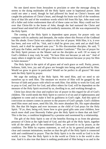No one dared move from Jerusalem to proclaim or utter the message along its streets to the dying multitudes till the Holy Spirit came in baptismal power. John could not utter a word, though he had pillowed his head on Christ's bosom and caught the pulsations of Christ's heart, and though his brain was full of the wondrous facts of that life and of the wondrous words which fell from His lips. John must wait till a fuller and richer endowment than all of these came on him. Mary could not live over that Christ-life in the home of John, though she had nurtured the Christ and stored heart and mind full of holy and motherly memories, till she was empowered by the Holy Spirit.

The coming of the Holy Spirit is dependent upon prayer, for prayer only can compass with its authority and demands, the realm where this Person of the Godhead has His abode. Even Christ was subject to this law of prayer. With Him, it is, it ever has been, and ever will be, "Ask, and it shall be given you; seek and ye shall find; knock, and it shall be opened unto you." To His disconsolate disciples, He said, "I will pray the Father, and He will give you another Comforter." This law of prayer for the Holy Spirit presses on the Master and on the disciples as well. Of so many of God's children it may truly be said, "Ye have Him not because ye ask not." And of many others it might be said, "Ye have Him in faint measure because ye pray for Him in faint measure."

The Holy Spirit is the spirit of all grace and of each grace as well. Purity, power, holiness, faith, love, joy and all grace are brought into being and perfected by Him. Would we grow in grace in particular? Would we be perfect in all graces? We must seek the Holy Spirit by prayer.

We urge the seeking of the Holy Spirit. We need Him, and we need to stir ourselves up to seek Him. The measure we receive of Him will be gauged by the fervour of faith and prayer with which we seek Him. Our ability to work for God, and to pray to God, and live for God, and affect others for God, will be dependent on the measure of the Holy Spirit received by us, dwelling in us, and working through us.

Christ lays down the clear and explicit law of prayer in this regard for all of God's children. The world needs the Holy Spirit to convict it of sin and of righteousness and judgment to come and to make it feel its guiltiness in God's sight. And this spirit of conviction on sinners comes in answer to the prayers of God's people. God's children need Him more and more, need His life, His more abundant life, His super-abundant life. But that life begins and ever increases as the child of God prays for the Holy Spirit. "If ye, then, being evil, know how to give good gifts unto your children, how much more shall your Heavenly Father give the Holy Spirit to them that ask him?" This is the law, a condition brightened by a promise and sweetened by a relationship.

The gift of the Holy Spirit is one of the benefits flowing to us from the glorious presence of Christ at the right hand of God, and this gift of the Holy Spirit, together with all the other gifts of the enthroned Christ, are secured to us by prayer, as the condition. The Bible by express statement, as well as by its general principles and clear and constant intimations, teaches us that the gift of the Holy Spirit is connected with and conditioned in prayer. That the Holy Spirit is in the world as God is in the world, is true. That the Holy Spirit is in the world as Christ is in the world is also true. And it is also true that there is nothing predicated of Him being in us and in the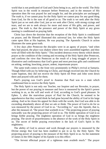world that is not predicated of God and Christ being in us, and in the world. The Holy Spirit was in the world in measure before Pentecost, and in the measure of His operation then He was prayed for and sought for, and the principles are unchanged. The truth is, if we cannot pray for the Holy Spirit we cannot pray for any good thing from God, for He is the sum of all good to us. The truth is we seek after the Holy Spirit just as we seek after God, just as we seek after Christ, with strong cryings and tears, and we are to seek always for more and more of His gifts, and power, and grace. The truth is, that the presence and power of the Holy Spirit at any given meeting is conditioned on praying faith.

Christ lays down the doctrine that the reception of the Holy Spirit is conditioned on prayer, and He Himself illustrated this universal law, for when the Holy Spirit came upon Him at His baptism, He was praying. The Apostolic Church in action illustrates the same great truth.

A few days after Pentecost the disciples were in an agony of prayer, "and when they had prayed, the place was shaken where they were assembled together; and they were all filled with the Holy Spirit." This incident destroys every theory which denies prayer as the condition of the coming and recoming of the Holy Spirit after Pentecost, and confirms the view that Pentecost as the result of a long struggle of prayer is illustrative and confirmatory that God's great and most precious gifts and conditioned on asking, seeking, knocking, prayer, ardent, importunate prayer.

The same truth comes to the front very prominently in Philip's revival at Samaria. Though filled with joy by believing in Christ, and though received into the Church by water baptism, they did not receive the Holy Spirit till Peter and John went down there and prayed with and for them.

Paul's praying was God's proof to Ananias that Paul was in a state which conditioned him to receive the Holy Spirit.

The Holy Spirit is not only our Teacher, our Inspirer and our Revealer, in prayer, but the power of our praying in measure and force is measured by the Spirit's power working in us, as the will and work of God, according to God's good pleasure. In Ephes. 3, after the marvelous prayer of Paul for the Church, he seemed to be apprehensive that they would think he had gone beyond the ability of God in his large asking. And so he closes his appeal for them with the words, that God was able to do exceeding abundantly above all that we ask or think. The power of God to do for us was measured by the power of God in us. "According to," says the Apostle, that is, after the measure of, "the power that worketh in us." The projecting power of praying outwardly was the projecting power of God in us. The feeble operation of God in us brings feeble praying. The mightiest operation of God in us brings the mightiest praying. The secret of prayerlessness is the absence of the work of the Holy Spirit in us. The secret of feeble praying everywhere is the lack of God's Spirit in His mightiness.

The ability of God to answer and work through our prayers is measured by the Divine energy that God has been enabled to put in us by the Holy Spirit. The projecting power of praying is the measure of the Holy Spirit in us. So the statement of James in the fifth chapter of his Epistle is to this effect:

"The fervent effectual prayer of a righteous man availeth much." The prayer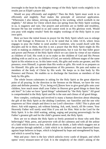inwrought in the heart by the almighty energy of the Holy Spirit works mightily in its results just as Elijah's prayer did.

Would we pray efficiently and mightily? Then the Holy Spirit must work in us efficiently and mightily. Paul makes the principle of universal application. "Whereunto I also labour, striving according to his working, which worketh in me mightily." All labour for Christ which does not spring from the Holy Spirit working in us, is nugatory and vain. Our prayers and activities are so feeble and resultless, because He has not worked in us and cannot work in us His glorious work. Would you pray with mighty results? Seek the mighty workings of the Holy Spirit in your own spirit.

Here we have the initial lesson in prayer for the Holy Spirit which was to enlarge to its full fruitage in Pentecost. It is to be noted that in John 14:16, where Jesus engages to pray the Father to send another Comforter, who would dwell with His disciples and be in them, that this is not a prayer that the Holy Spirit might do His work in making us children of God by regeneration, but it was for that fuller grace and power and Person of the Holy Spirit which we can claim by virtue of our relation as children of God. His work in us to make us the children of God and His Person abiding with us and in us, as children of God, are entirely different stages of the same Spirit in His relation to us. In this latter work, His gifts and works are greater, and His presence, even Himself, is greater than His works or gifts. His work in us prepares us for Himself. His gifts are the dispensations of His presence. He puts and makes us members of the body of Christ by His work. He keeps us in that body by His Presence and Person. He enables us to discharge the functions as members of that body by His gifts.

The whole lesson culminates in asking for the Holy Spirit as the great objective point of all praying. In the direction in the Sermon on the Mount, we have the very plain and definite promise, "If ye, being evil,[]know how to give good gifts unto your children, how much more shall your Father in Heaven give good things to them that ask him?" In Luke we have "good things" substituted by "the Holy Spirit." All good is comprehended in the Holy Spirit and He is the sum and climax of all good things.

How complex, confusing and involved is many a human direction about obtaining the gift of the Holy Spirit as the abiding Comforter, our Sanctifier and the one who empowers us! How simple and direct is our Lord's direction—ASK! This is plain and direct. Ask with urgency, ask without fainting. Ask, seek, knock, till He comes. Your Heavenly Father will surely send Him if you ask for Him. Wait in the Lord for the Holy Spirit. It is the child waiting, asking, urging and praying perseveringly for the Father's greatest gift and for the child's greatest need, the Holy Spirit.

How are we to obtain the Holy Spirit so freely promised to those who seek Him believingly? Wait, press, and persevere with all the calmness and with all the ardour of a faith which knows no fear, which allows no doubt, a faith which staggers not at the promise through unbelief, a faith which in its darkest and most depressed hours against hope believes in hope, which is brightened by hope and strengthened by hope, and which is saved by hope.

Wait and pray—here is the key which unlocks every castle of despair, and which opens' every treasure-store of God. It is the simplicity of the child's asking of the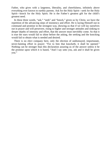Father, who gives with a largeness, liberality, and cheerfulness, infinitely above everything ever known to earthly parents. Ask for the Holy Spirit—seek for the Holy Spirit—knock for the Holy Spirit. He is the Father's greatest gift for the child's greatest need.

In these three words, "ask," "seek" and "knock," given us by Christ, we have the repetition of the advancing steps of insistency and effort. He is laying Himself out in command and promise in the strongest way, showing us that if we will lay ourselves out in prayer and will persevere, rising to higher and stronger attitudes and sinking to deeper depths of intensity and effort, that the answer must inevitibly come. So that it is true the stars would fail to shine before the asking, the seeking and the knocking would fail to obtain what is needed and desired.

There is no elect company here, only the election of undismayed, importunate, never-fainting effort in prayer: "For to him that knocketh, it shall be opened." Nothing can be stronger than this declaration assuring us of the answer unless it be the promise upon which it is based, "And I say unto you, ask and it shall be given you."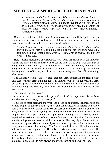#### **XIV. THE HOLY SPIRIT OUR HELPER IN PRAYER**

*We must pray in the Spirit., in the Holy Ghost, if we would pray at all. Lay this, I beseech you, to heart. Do not address yourselves to prayer as to a work to be accomplished in your own natural strength. It is a work of God, of God the Holy Ghost, a work of His in you and by you, and in which you must be fellow-workers with Him—but His work notwithstanding.*— Archbishop Trench

One of the revelations of the New Testament concerning the Holy Spirit is that He is our helper in prayer. So we have in the following incident in our Lord's life the close connection between the Holy Spirit's work and prayer:

*"At that time Jesus rejoiced in spirit and said, I thank thee, O Father, Lord of heaven and earth, that thou hast hid these things from the wise and prudent, and hast revealed them unto babes; even so, Father, for it seemed good in thy sight."—Luke 10:21.*

Here we have revelations of what God is to us. Only the child's heart can know the Father, and only the child's heart can reveal the Father. It is by prayer only that all things are delivered to us by the Father through the Son. It is only by prayer that all things are revealed to us by the Father and by the Son. It is only in prayer that the Father gives Himself to us, which is much more every way than all other things whatsoever.

The Revised Version reads: "At that same hour Jesus rejoiced in the Holy Spirit." This sets forth that great truth not generally known, or if known, ignored, that Jesus Christ was generally led by the Holy Spirit, and that His joy and His praying, as well as His working, and His life, were under the inspiration, law and guidance of the Holy Spirit.

Turn to and read this passage:

Romans 8:26— *"Likewise the spirit also helpeth our infirmities; for we know not what we should pray for as we ought."*

This text is most pregnant and vital, and needs to be quoted. Patience, hope and waiting help us in prayer. But the greatest and the divinest of all helpers is the Holy Spirit. He takes hold of things for us. We are dark and confused, ignorant and weak in many things, in fact in everything pertaining to the Heavenly life, especially in the simple service of prayer. There is an "ought" on us, an obligation, a necessity to pray, a spiritual necessity upon us of the most absolute and imperative kind. But we do not feel the obligation and have no ability to meet it. The Holy Spirit helps us in our weaknesses, gives wisdom to our ignorance, turns ignorance into wisdom, and changes our weakness into strength. The Spirit Himself does this. He helps and takes hold with us as we tug and toil. He adds His wisdom to our ignorance, gives His strength to our weakness. He pleads for us and in us. He quickens, illumines and inspires our prayers. He indites and elevates the matter of our prayers, and inspires the words and feelings of our prayers. He works mightily in us so that we can pray mightily. He enables us to pray always and ever according to the will of God.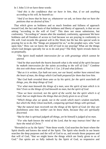In 1 John 5:14 we have these words:

*"And this is the confidence that we have in him, that, if we ask anything according to his will, he heareth us:*

*"And if we know that he hear us, whatsoever we ask, we know that we have the petitions that we desired of him."*

That which gives us boldness and so much freedom and fullness of approach toward God, the fact and basis of that boldness and liberty of approach, is that we are asking "according to the will of God." This does not mean submission, but conformity. "According to" means after the standard, conformity, agreement We have boldness and all freedom of access to God because we are praying in conformity to His will. God records His general will in His Word, but He has this special work in praying for us to do. His "things are prepared for us," as the prophet says, who "wait upon him," How can we know the will of God in our praying? What are the things which God designs specially for us to do and pray? The Holy Spirit reveals them to us perpetually.

*"The Spirit itself maketh intercession for us with groanings which cannot be uttered.*

*"And he that searcheth the hearts knoweth what is the mind of the spirit because he maketh intercession for the saints according to the will of God." Combine this text with those words of Paul in 1 Cor. 2:8 and what follows:*

*"But as it is written, Eye hath not seen, nor ear heard, neither have entered into the heart of man, the things which God hath prepared for them that love him.*

*"But God hath revealed them unto us by his spirit; for the spirit searcheth all things, yea, the deep things of God.*

*"For what man knoweth the things of a man, save the spirit of man which is in him? Even so the things of God knoweth no man, but the spirit of God.*

*"Now we have received, not the spirit of the world, but the spirit which is of God; that we might know the things that are freely given to us of God.*

*"Which things also we speak, not in the words which man's wisdom teacheth, but which the Holy Ghost teacheth, comparing spiritual things with spiritual.*

*"But the natural man receiveth not the things of the Spirit of God; for they are foolishness unto him; neither can he know them, because they are spiritually discerned.*

*"But he that is spiritual judgeth all things, yet he himself is judged of no man.*

*"For who hath known the mind of the Lord, that he may instruct him? But we have the mind of Christ."*

"Revealed to us by the Spirit." Note those words. God searches the heart where the Spirit dwells and knows the mind of the Spirit. The Spirit who dwells in our hearts searches the deep purposes and the will of God to us, and reveals those purposes and that will of God, "that we might know the things which are freely given to us of God." Our spirits are so fully indwelt by the Spirit of God, so responsive and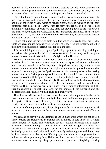obedient to His illumination and to His will, that we ask with holy boldness and freedom the things which the Spirit of God has shown us as the will of God, and faith is assured. Then "we know that we have the petitions that we have asked."

The natural man prays, but prays according to his own will, fancy and desire. If he has ardent desires and groanings, they are the fire and agony of nature simply, and not that of the Spirit. What a world of natural praying there is, which is selfish, selfcontented, self-inspired! The Spirit, when He prays through us, or helps us to meet the mighty "oughtness" of right praying, trims our praying down to the will of God, and then we give heart and expression to His unutterable groanings. Then we have the mind of Christ, and pray as He would pray. His thoughts, purposes and desires are our desires, purposes and thoughts.

This is not a new and different Bible from that which we already have, but it is the Bible we have, applied personally by the Spirit of God. It is not new texts, but rather the Spirit's embellishing of certain texts for us at the time.

It is the unfolding of the word by the Spirit's light, guidance, teaching, enabling us to perform the great office of intercessors on earth, in harmony with the great intercessions of Jesus Christ at the Father's right hand in Heaven.

We have in the Holy Spirit an illustration and an enabler of what this intercession is and ought to be. We are charged to supplicate in the Spirit and to pray in the Holy Spirit. We are reminded that the Holy Spirit "helpeth our infirmities," and that while intercession is an art of so Divine and so high a nature that though we know not what to pray for as we ought, yet the Spirit teaches us this Heavenly science, by making intercession in us "with groanings which cannot be uttered." How burdened these intercessions of the Holy Spirit! How profoundly He feels the world's sin, the world's woe, and the world's loss, and how deeply He sympathises with the dire conditions, are seen in His groanings which are too deep for utterance and too sacred to be voiced by Him. He inspires us to this most Divine work of intercession, and His strength enables us to sigh unto God for the oppressed, the burdened and the distressed creation. The Holy Spirit helps us in many ways.

How intense will be the intercessions of the saints who supplicate in the spirit. How vain and delusive and how utterly fruitless and inefficient are prayers without the Spirit! Official prayers they may be, fitted for state occasions, beautiful and courtly, but worth less than nothing as God values prayer.

It is our unfainting praying which will help the Holy Spirit to His mightiest work in us, and at the same time He helps us to these strenuous and exalted efforts in prayer.

We can and do pray by many inspirations and in many ways which are not of God. Many prayers are stereotyped in manner and in matter, in part, if not as a whole. Many prayers are hearty and vehement, but it is natural heartiness and a fleshly vehemence. Much praying is done by dint of habit and through form. Habit is a second nature and holds to the good, when so directed, as well as to the bad. The habit of praying is a good habit, and should be early and strongly formed; but to pray by habit merely is to destroy the life of prayer and allow it to degenerate into a hollow and sham-producing form, Habit may form the bank for the river of prayer, but there must be a strong, deep, pure current, crystal and life-giving, flowing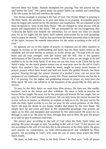between these two banks. Hannah multiplied her praying, "but she poured out her soul before the Lord." We cannot make our prayer habits too marked and controlling if the life-waters be full and overflow the banks.

Our divine example in praying is the Son of God. Our Divine Helper in praying is the Holy Spirit. He quickens us to pray and helps us in praying. Acceptable prayer must be begun and carried on by His presence and inspiration. We are enjoined in the Holy Scriptures to "pray in the Holy Ghost." We are charged to "pray always with all prayer and supplication in the Spirit." We are reminded for our encouragement, that "Likewise the Spirit also helpeth our infirmities; for we know not what we should pray for as we ought; but the Spirit itself maketh intercession for us with groanings which cannot be uttered." "And he that searcheth the hearts knoweth what is the mind of the Spirit, because He maketh intercession for the saints according to the will of God."

So ignorant are we in this matter of prayer; so impotent are all other teachers to impart its lessons to our understanding and heart, that the Holy Spirit comes as the infallible and all-wise teacher to instruct us in this divine art. "To pray with all your heart and all your strength, with the reason and the will, this is the greatest achievement of the Christian warfare on earth." This is what we are taught to do and enabled to do by the Holy Spirit. If no man can say that Jesus is the Christ but by the Spirit's help; for the much greater reason can no man pray save by the aid of God's Spirit. Our mother's lips, now sealed by death, taught us many sweet lessons of prayer; prayers which have bound and held our hearts like golden threads; but these prayers, flowing through the natural channel of a mother's love, can not serve the purposes of our manhood's warring, stormy life. These maternal lessons are but the A B C of praying. For the higher and graduating lessons in prayer we must have the Holy Spirit. He only can unfold to us the mysteries of the prayer-life, its duty and its service.

To pray by the Holy Spirit we must have Him always. He does not, like earthly teachers, teach us the lesson and then withdraw. He stays to help us practise the lesson He has taught. We pray, not by the precepts and lessons He has taught, but we pray by Him. He is both teacher and lesson. We can only know the lesson because He is ever with us to inspire, to illumine, to explain, to help us to do. We pray not by the truth the Holy Spirit reveals to us, but we pray by the actual presence of the Holy Spirit. He puts the desire in our hearts; kindles that desire by His own flame. We simply give lip and voice and heart to His unutterable groanings. Our prayers are taken up by Him and energised and sanctified by His intercession. He prays for us, through us and in us. We pray by Him, through Him and in Him. He puts the prayer in us and we give it utterance and heart.

We always pray according to the will of God when the Holy Spirit helps our praying. He prays through us only "according to the will of God." If our prayers are not according to the will of God they die in the presence of the Holy Spirit. He gives such prayers no countenance, no help. Discountenanced and unhelped by Him, prayers, not according to God's will, soon die out of every heart where the Holy Spirit dwells.

We must, as Jude says, "Pray in the Holy Ghost." As Paul says, "with all prayer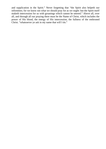and supplication in the Spirit." Never forgetting that "the Spirit also helpeth our infirmities; for we know not what we should pray for as we ought: but the Spirit itself maketh intercession for us with groanings which cannot be uttered." Above all, over all, and through all our praying there must be the Name of Christ, which includes the power of His blood, the energy of His intercession, the fullness of the enthroned Christ. "whatsoever ye ask in my name that will I do."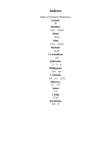#### **Indexes**

Index of Scripture References **Ezekiel** 36 **Matthew** 5:23 18:19 **Mark** 8:22 **John** 5:13 14:16 **Romans** 8:26 **1 Corinthians** 2:8 **Ephesians** 3 3 6 **Philippians** 4:6 4:6 **1 Timothy** 1:8 2:1 2:13 **Hebrews** 5:7 5:7 **James** 1:5 **1 John** 5:14 **Revelation** 4:6 8